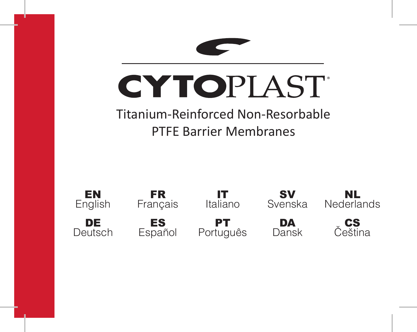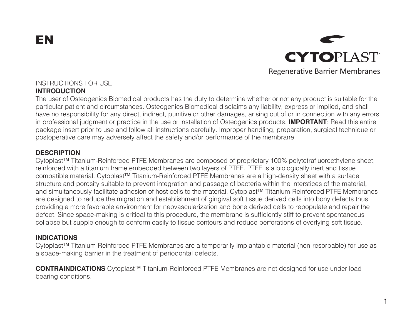EN



1

#### INSTRUCTIONS FOR USE **INTRODUCTION**

The user of Osteogenics Biomedical products has the duty to determine whether or not any product is suitable for the particular patient and circumstances. Osteogenics Biomedical disclaims any liability, express or implied, and shall have no responsibility for any direct, indirect, punitive or other damages, arising out of or in connection with any errors in professional judgment or practice in the use or installation of Osteogenics products. **IMPORTANT**: Read this entire package insert prior to use and follow all instructions carefully. Improper handling, preparation, surgical technique or postoperative care may adversely affect the safety and/or performance of the membrane.

## **DESCRIPTION**

Cytoplast™ Titanium-Reinforced PTFE Membranes are composed of proprietary 100% polytetrafluoroethylene sheet, reinforced with a titanium frame embedded between two layers of PTFE. PTFE is a biologically inert and tissue compatible material. Cytoplast™ Titanium-Reinforced PTFE Membranes are a high-density sheet with a surface structure and porosity suitable to prevent integration and passage of bacteria within the interstices of the material, and simultaneously facilitate adhesion of host cells to the material. Cytoplast™ Titanium-Reinforced PTFE Membranes are designed to reduce the migration and establishment of gingival soft tissue derived cells into bony defects thus providing a more favorable environment for neovascularization and bone derived cells to repopulate and repair the defect. Since space-making is critical to this procedure, the membrane is sufficiently stiff to prevent spontaneous collapse but supple enough to conform easily to tissue contours and reduce perforations of overlying soft tissue.

#### **INDICATIONS**

Cytoplast™ Titanium-Reinforced PTFE Membranes are a temporarily implantable material (non-resorbable) for use as a space-making barrier in the treatment of periodontal defects.

**CONTRAINDICATIONS** Cytoplast™ Titanium-Reinforced PTFE Membranes are not designed for use under load bearing conditions.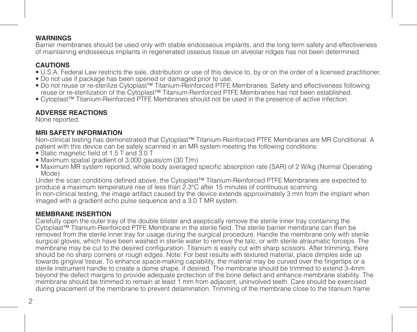## **WARNINGS**

Barrier membranes should be used only with stable endosseous implants, and the long term safety and effectiveness of maintaining endosseous implants in regenerated osseous tissue on alveolar ridges has not been determined.

# **CAUTIONS**

- U.S.A. Federal Law restricts the sale, distribution or use of this device to, by or on the order of a licensed practitioner.
- Do not use if package has been opened or damaged prior to use.
- Do not reuse or re-sterilize Cytoplast™ Titanium-Reinforced PTFE Membranes. Safety and effectiveness following reuse or re-sterilization of the Cytoplast™ Titanium-Reinforced PTFE Membranes has not been established.
- Cytoplast™ Titanium-Reinforced PTFE Membranes should not be used in the presence of active infection.

# **ADVERSE REACTIONS**

None reported.

## **MRI SAFETY INFORMATION**

Non-clinical testing has demonstrated that Cytoplast™ Titanium-Reinforced PTFE Membranes are MR Conditional. A patient with this device can be safely scanned in an MR system meeting the following conditions:

- Static magnetic field of 1.5 T and 3.0 T
- Maximum spatial gradient of 3,000 gauss/cm (30 T/m)
- Maximum MR system reported, whole body averaged specific absorption rate (SAR) of 2 W/kg (Normal Operating Mode)

Under the scan conditions defined above, the Cytoplast™ Titanium-Reinforced PTFE Membranes are expected to produce a maximum temperature rise of less than 2.3°C after 15 minutes of continuous scanning.

In non-clinical testing, the image artifact caused by the device extends approximately 3 mm from the implant when imaged with a gradient echo pulse sequence and a 3.0 T MR system.

## **MEMBRANE INSERTION**

Carefully open the outer tray of the double blister and aseptically remove the sterile inner tray containing the Cytoplast™ Titanium-Reinforced PTFE Membrane in the sterile field. The sterile barrier membrane can then be removed from the sterile inner tray for usage during the surgical procedure. Handle the membrane only with sterile surgical gloves, which have been washed in sterile water to remove the talc, or with sterile atraumatic forceps. The membrane may be cut to the desired configuration. Titanium is easily cut with sharp scissors. After trimming, there should be no sharp corners or rough edges. Note: For best results with textured material, place dimples side up towards gingival tissue. To enhance space-making capability, the material may be curved over the fingertips or a sterile instrument handle to create a dome shape, if desired. The membrane should be trimmed to extend 3-4mm beyond the defect margins to provide adequate protection of the bone defect and enhance membrane stability. The membrane should be trimmed to remain at least 1 mm from adjacent, uninvolved teeth. Care should be exercised during placement of the membrane to prevent delamination. Trimming of the membrane close to the titanium frame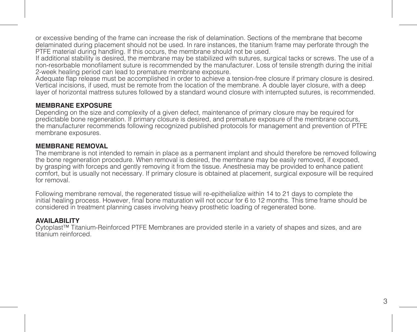or excessive bending of the frame can increase the risk of delamination. Sections of the membrane that become delaminated during placement should not be used. In rare instances, the titanium frame may perforate through the PTFE material during handling. If this occurs, the membrane should not be used.

If additional stability is desired, the membrane may be stabilized with sutures, surgical tacks or screws. The use of a non-resorbable monofilament suture is recommended by the manufacturer. Loss of tensile strength during the initial 2-week healing period can lead to premature membrane exposure.

Adequate flap release must be accomplished in order to achieve a tension-free closure if primary closure is desired. Vertical incisions, if used, must be remote from the location of the membrane. A double layer closure, with a deep layer of horizontal mattress sutures followed by a standard wound closure with interrupted sutures, is recommended.

## **MEMBRANE EXPOSURE**

Depending on the size and complexity of a given defect, maintenance of primary closure may be required for predictable bone regeneration. If primary closure is desired, and premature exposure of the membrane occurs, the manufacturer recommends following recognized published protocols for management and prevention of PTFE membrane exposures.

#### **MEMBRANE REMOVAL**

The membrane is not intended to remain in place as a permanent implant and should therefore be removed following the bone regeneration procedure. When removal is desired, the membrane may be easily removed, if exposed, by grasping with forceps and gently removing it from the tissue. Anesthesia may be provided to enhance patient comfort, but is usually not necessary. If primary closure is obtained at placement, surgical exposure will be required for removal.

Following membrane removal, the regenerated tissue will re-epithelialize within 14 to 21 days to complete the initial healing process. However, final bone maturation will not occur for 6 to 12 months. This time frame should be considered in treatment planning cases involving heavy prosthetic loading of regenerated bone.

#### **AVAILABILITY**

Cytoplast™ Titanium-Reinforced PTFE Membranes are provided sterile in a variety of shapes and sizes, and are titanium reinforced.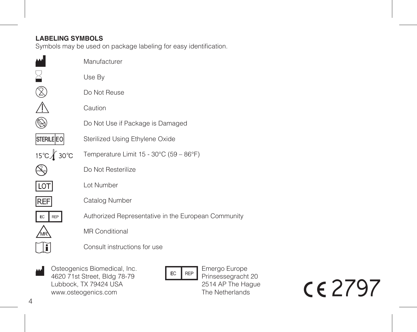# **LABELING SYMBOLS**

Symbols may be used on package labeling for easy identification.

|                   | Manufacturer                                        |
|-------------------|-----------------------------------------------------|
|                   | Use By                                              |
|                   | Do Not Reuse                                        |
|                   | Caution                                             |
|                   | Do Not Use if Package is Damaged                    |
| <b>STERILE EO</b> | Sterilized Using Ethylene Oxide                     |
| 15℃∦ 30℃          | Temperature Limit 15 - 30°C (59 - 86°F)             |
|                   | Do Not Resterilize                                  |
| $\overline{10}$   | I ot Number                                         |
| <b>REF</b>        | Catalog Number                                      |
| EC<br>REP         | Authorized Representative in the European Community |
|                   | <b>MR Conditional</b>                               |
|                   | Consult instructions for use                        |
|                   |                                                     |

Osteogenics Biomedical, Inc. 4620 71st Street, Bldg 78-79 Lubbock, TX 79424 USA www.osteogenics.com M

 $EC$  REP

Emergo Europe Prinsessegracht 20 2514 AP The Hague The Netherlands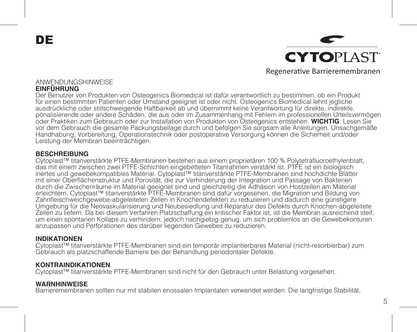DE

**CYTOPLAST** Regenerative Barrieremembranen

#### ANWENDUNGSHINWEISE **EINFÜHRUNG**

Der Benutzer von Produkten von Osteogenics Biomedical ist dafür verantwortlich zu bestimmen, ob ein Produkt für einen bestimmten Patienten oder Umstand geeignet ist oder nicht. Osteogenics Biomedical lehnt jegliche ausdrückliche oder stillschweigende Haftbarkeit ab und übernimmt keine Verantwortung für direkte, indirekte, pönalisierende oder andere Schäden, die aus oder im Zusammenhang mit Fehlern im professionellen Urteilsvermögen<br>oder Praktiken zum Gebrauch oder zur Installation von Produkten von Osteogenics entstehen. WICHTIG: Lesen Sie vor dem Gebrauch die gesamte Packungsbeilage durch und befolgen Sie sorgsam alle Anleitungen. Unsachgemäße Handhabung, Vorbereitung, Operationstechnik oder postoperative Versorgung können die Sicherheit und/oder Leistung der Membran beeinträchtigen.

## **BESCHREIBUNG**

Cytoplast™ titanverstärkte PTFE-Membranen bestehen aus einem proprietären 100 % Polytetrafluoroethylenblatt, das mit einem zwischen zwei PTFE-Schichten eingebetteten Titanrahmen verstärkt ist. PTFE ist ein biologisch inertes und gewebekompatibles Material. Cytoplast™ titanverstärkte PTFE-Membranen sind hochdichte Blätter mit einer Oberflächenstruktur und Porosität, die zur Verhinderung der Integration und Passage von Bakterien durch die Zwischenräume im Material geeignet sind und gleichzeitig die Adhäsion von Hostzellen am Material erleichtern. Cytoplast™ titanverstärkte PTFE-Membranen sind dafür vorgesehen, die Migration und Bildung von Zahnfleischweichgewebe-abgeleiteten Zellen in Knochendefekten zu reduzieren und dadurch eine günstigere Umgebung für die Neovaskularisierung und Neubesiedlung und Reparatur des Defekts durch Knochen-abgeleitete Zellen zu liefern. Da bei diesem Verfahren Platzschaffung ein kritischer Faktor ist, ist die Membran ausreichend steif, um einen spontanen Kollaps zu verhindern, jedoch nachgiebig genug, um sich problemlos an die Gewebekonturen anzupassen und Perforationen des darüber liegenden Gewebes zu reduzieren.

## **INDIKATIONEN**

Cytoplast™ titanverstärkte PTFE-Membranen sind ein temporär implantierbares Material (nicht-resorbierbar) zum Gebrauch als platzschaffende Barriere bei der Behandlung periodontaler Defekte.

## **KONTRAINDIKATIONEN**

Cytoplast™ titanverstärkte PTFE-Membranen sind nicht für den Gebrauch unter Belastung vorgesehen.

## **WARNHINWEISE**

Barrieremembranen sollten nur mit stabilen enossalen Implantaten verwendet werden. Die langfristige Stabilität,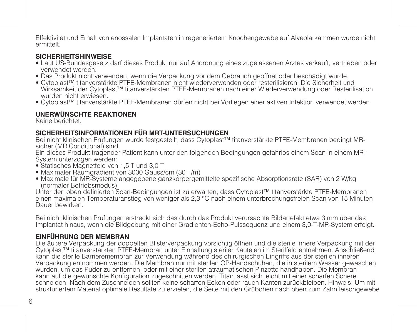Effektivität und Erhalt von enossalen Implantaten in regeneriertem Knochengewebe auf Alveolarkämmen wurde nicht<br>ermittelt.

## **SICHERHEITSHINWEISE**

- Laut US-Bundesgesetz darf dieses Produkt nur auf Anordnung eines zugelassenen Arztes verkauft, vertrieben oder verwendet werden.
- Das Produkt nicht verwenden, wenn die Verpackung vor dem Gebrauch geöffnet oder beschädigt wurde.
- Cytoplast™ titanverstärkte PTFE-Membranen nicht wiederverwenden oder resterilisieren. Die Sicherheit und Wirksamkeit der Cytoplast™ titanverstärkten PTFE-Membranen nach einer Wiederverwendung oder Resterilisation wurden nicht erwiesen.
- Cytoplast™ titanverstärkte PTFE-Membranen dürfen nicht bei Vorliegen einer aktiven Infektion verwendet werden.

# **UNERWÜNSCHTE REAKTIONEN**

Keine berichtet.

# **SICHERHEITSINFORMATIONEN FÜR MRT-UNTERSUCHUNGEN**

Bei nicht klinischen Prüfungen wurde festgestellt, dass Cytoplast™ titanverstärkte PTFE-Membranen bedingt MRsicher (MR Conditional) sind.

Ein dieses Produkt tragender Patient kann unter den folgenden Bedingungen gefahrlos einem Scan in einem MR-System unterzogen werden:

- Statisches Magnetfeld von 1,5 T und 3,0 T
- Maximaler Raumgradient von 3000 Gauss/cm (30 T/m)
- Maximale für MR-Systeme angegebene ganzkörpergemittelte spezifische Absorptionsrate (SAR) von 2 W/kg (normaler Betriebsmodus)

Unter den oben definierten Scan-Bedingungen ist zu erwarten, dass Cytoplast™ titanverstärkte PTFE-Membranen einen maximalen Temperaturanstieg von weniger als 2,3 °C nach einem unterbrechungsfreien Scan von 15 Minuten.<br>Dauer bewirken

Bei nicht klinischen Prüfungen erstreckt sich das durch das Produkt verursachte Bildartefakt etwa 3 mm über das<br>Implantat hinaus, wenn die Bildgebung mit einer Gradienten-Echo-Pulssequenz und einem 3,0-T-MR-System erfolgt.

# **EINFÜHRUNG DER MEMBRAN**

Die äußere Verpackung der doppelten Blisterverpackung vorsichtig öffnen und die sterile innere Verpackung mit der Cytoplast™ titanverstärkten PTFE-Membran unter Einhaltung steriler Kautelen im Sterilfeld entnehmen. Anschließend kann die sterile Barrieremembran zur Verwendung während des chirurgischen Eingriffs aus der sterilen inneren Verpackung entnommen werden. Die Membran nur mit sterilen OP-Handschuhen, die in sterilem Wasser gewaschen wurden, um das Puder zu entfernen, oder mit einer sterilen atraumatischen Pinzette handhaben. Die Membran kann auf die gewünschte Konfiguration zugeschnitten werden. Titan lässt sich leicht mit einer scharfen Schere schneiden. Nach dem Zuschneiden sollten keine scharfen Ecken oder rauen Kanten zurückbleiben. Hinweis: Um mit strukturiertem Material optimale Resultate zu erzielen, die Seite mit den Grübchen nach oben zum Zahnfleischgewebe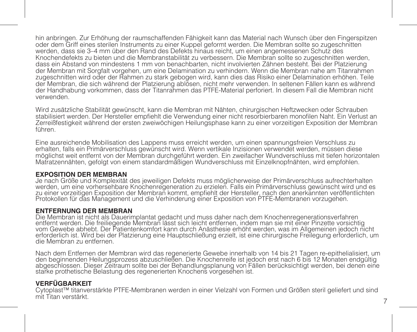hin anbringen. Zur Erhöhung der raumschaffenden Fähigkeit kann das Material nach Wunsch über den Fingerspitzen oder dem Griff eines sterilen Instruments zu einer Kuppel geformt werden. Die Membran sollte so zugeschnitten werden, dass sie 3–4 mm über den Rand des Defekts hinaus reicht, um einen angemessenen Schutz des Knochendefekts zu bieten und die Membranstabilität zu verbessern. Die Membran sollte so zugeschnitten werden, dass ein Abstand von mindestens 1 mm von benachbarten, nicht involvierten Zähnen besteht. Bei der Platzierung der Membran mit Sorgfalt vorgehen, um eine Delamination zu verhindern. Wenn die Membran nahe am Titanrahmen zugeschnitten wird oder der Rahmen zu stark gebogen wird, kann dies das Risiko einer Delamination erhöhen. Teile der Membran, die sich während der Platzierung ablösen, nicht mehr verwenden. In seltenen Fällen kann es während der Handhabung vorkommen, dass der Titanrahmen das PTFE-Material perforiert. In diesem Fall die Membran nicht verwenden.

Wird zusätzliche Stabilität gewünscht, kann die Membran mit Nähten, chirurgischen Heftzwecken oder Schrauben stabilisiert werden. Der Hersteller empfiehlt die Verwendung einer nicht resorbierbaren monofilen Naht. Ein Verlust an Zerreißfestigkeit während der ersten zweiwöchigen Heilungsphase kann zu einer vorzeitigen Exposition der Membran führen.

Eine ausreichende Mobilisation des Lappens muss erreicht werden, um einen spannungsfreien Verschluss zu erhalten, falls ein Primärverschluss gewünscht wird. Wenn vertikale Inzisionen verwendet werden, müssen diese möglichst weit entfernt von der Membran durchgeführt werden. Ein zweifacher Wundverschluss mit tiefen horizontalen Matratzennähten, gefolgt von einem standardmäßigen Wundverschluss mit Einzelknopfnähten, wird empfohlen.

**EXPOSITION DER MEMBRAN**<br>Je nach Größe und Komplexität des jeweiligen Defekts muss möglicherweise der Primärverschluss aufrechterhalten werden, um eine vorhersehbare Knochenregeneration zu erzielen. Falls ein Primärverschluss gewünscht wird und es<br>zu einer vorzeitigen Exposition der Membran kommt, empfiehlt der Hersteller, nach den anerkannten veröffentlic Protokollen für das Management und die Verhinderung einer Exposition von PTFE-Membranen vorzugehen.

**ENTFERNUNG DER MEMBRAN**<br>Die Membran ist nicht als Dauerimplantat gedacht und muss daber nach dem Knochenregenerationsverfahren. Die Membran ist nicht als Dauerimplantat gedacht und muss daher nach dem Knochenregenerationsverfahren entfernt werden. Die freiliegende Membran lässt sich leicht entfernen, indem man sie mit einer Pinzette vorsichtig erforderlich ist. Wird bei der Platzierung eine Hauptschließung erzielt, ist eine chirurgische Freilegung erforderlich, um

Nach dem Entfernen der Membran wird das regenerierte Gewebe innerhalb von 14 bis 21 Tagen re-epithelialisiert, um<br>den beginnenden Heilungsprozess abzuschließen. Die Knochenreife ist jedoch erst nach 6 bis 12 Monaten endgül starke prothetische Belastung des regenerierten Knochens vorgesehen ist.

## **VERFÜGBARKEIT**

Cytoplast™ titanverstärkte PTFE-Membranen werden in einer Vielzahl von Formen und Größen steril geliefert und sind mit Titan verstärkt.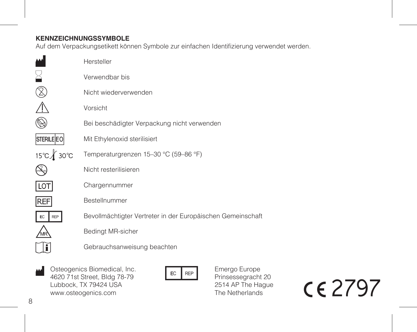# **KENNZEICHNUNGSSYMBOLE**

Auf dem Verpackungsetikett können Symbole zur einfachen Identifizierung verwendet werden.

|                  | Hersteller                                                  |
|------------------|-------------------------------------------------------------|
|                  | Verwendbar bis                                              |
|                  | Nicht wiederverwenden                                       |
|                  | Vorsicht                                                    |
|                  | Bei beschädigter Verpackung nicht verwenden                 |
| STERILE EO       | Mit Ethylenoxid sterilisiert                                |
| 15℃ 30°C         | Temperaturgrenzen 15-30 °C (59-86 °F)                       |
|                  | Nicht resterilisieren                                       |
|                  | Chargennummer                                               |
| REF              | Bestellnummer                                               |
| <b>REP</b><br>EC | Bevollmächtigter Vertreter in der Europäischen Gemeinschaft |
|                  | Bedingt MR-sicher                                           |
|                  | Gebrauchsanweisung beachten                                 |
|                  |                                                             |

Osteogenics Biomedical, Inc. W Osteogenics Biomedical, Inc.<br>4620 71st Street, Bldg 78-79<br>Hubbock TX 79424 USA Lubbock, TX 79424 USA www.osteogenics.com



Emergo Europe Prinsessegracht 20 2514 AP The Hague The Netherlands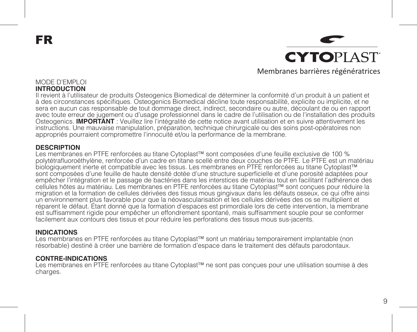FR

**CYTOPLAST** Membranes barrières régénératrices

#### MODE D'EMPLOI **INTRODUCTION**

Il revient à l'utilisateur de produits Osteogenics Biomedical de déterminer la conformité d'un produit à un patient et à des circonstances spécifiques. Osteogenics Biomedical décline toute responsabilité, explicite ou implicite, et ne sera en aucun cas responsable de tout dommage direct, indirect, secondaire ou autre, découlant de ou en rapport avec toute erreur de jugement ou d'usage professionnel dans le cadre de l'utilisation ou de l'installation des produits Osteogenics. **IMPORTANT** : Veuillez lire l'intégralité de cette notice avant utilisation et en suivre attentivement les instructions. Une mauvaise manipulation, préparation, technique chirurgicale ou des soins post-opératoires non appropriés pourraient compromettre l'innocuité et/ou la performance de la membrane.

#### **DESCRIPTION**

Les membranes en PTFE renforcées au titane Cytoplast™ sont composées d'une feuille exclusive de 100 % polytétrafluoroéthylène, renforcée d'un cadre en titane scellé entre deux couches de PTFE. Le PTFE est un matériau biologiquement inerte et compatible avec les tissus. Les membranes en PTFE renforcées au titane Cytoplast™ sont composées d'une feuille de haute densité dotée d'une structure superficielle et d'une porosité adaptées pour empêcher l'intégration et le passage de bactéries dans les interstices de matériau tout en facilitant l'adhérence des cellules hôtes au matériau. Les membranes en PTFE renforcées au titane Cytoplast™ sont conçues pour réduire la migration et la formation de cellules dérivées des tissus mous gingivaux dans les défauts osseux, ce qui offre ainsi un environnement plus favorable pour que la néovascularisation et les cellules dérivées des os se multiplient et réparent le défaut. Étant donné que la formation d'espaces est primordiale lors de cette intervention, la membrane est suffisamment rigide pour empêcher un effondrement spontané, mais suffisamment souple pour se conformer facilement aux contours des tissus et pour réduire les perforations des tissus mous sus-jacents.

#### **INDICATIONS**

Les membranes en PTFE renforcées au titane Cytoplast™ sont un matériau temporairement implantable (non résorbable) destiné à créer une barrière de formation d'espace dans le traitement des défauts parodontaux.

## **CONTRE-INDICATIONS**

Les membranes en PTFE renforcées au titane Cytoplast™ ne sont pas conçues pour une utilisation soumise à des charges.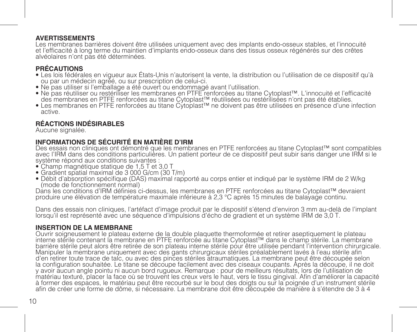**AVERTISSEMENTS**<br>Les membranes barrières doivent être utilisées uniquement avec des implants endo-osseux stables, et l'innocuité Les membranes barrières doivent être utilisées uniquement avec des implants endo-osseux stables, et l'innocuité et l'efficacité à long terme du maintien d'implants endo-osseux dans des tissus osseux régénérés sur des crêtes alvéolaires n'ont pas été déterminées.

## **PRÉCAUTIONS**

- Les lois fédérales en vigueur aux États-Unis n'autorisent la vente, la distribution ou l'utilisation de ce dispositif qu'à ou par un médecin agréé, ou sur prescription de celui-ci.
- 
- Ne pas utiliser si l'emballage a été ouvert ou endommagé avant l'utilisation. des membranes en PTFF renforcées au titane Cytoplast<sup>TM</sup> réutilisées ou restérilisées n'ont pas été établies.
- Les membranes en PTFE renforcées au titane Cytoplast™ ne doivent pas être utilisées en présence d'une infection active.

# **RÉACTIONS INDÉSIRABLES**

Aucune signalée.

# **INFORMATIONS DE SÉCURITÉ EN MATIÈRE D'IRM**

Des essais non cliniques ont démontré que les membranes en PTFE renforcées au titane Cytoplast™ sont compatibles avec l'IRM dans des conditions particulières. Un patient porteur de ce dispositif peut subir sans danger une IRM si le système répond aux conditions suivantes :

- Champ magnétique statique de 1,5 T et 3,0 T
- Gradient spatial maximal de 3 000 G/cm (30 T/m)
- Débit d'absorption spécifique (DAS) maximal rapporté au corps entier et indiqué par le système IRM de 2 W/kg<br>- (mode de fonctionnement normal)<br>Dans les conditions d'IRM définies ci-dessus. les membranes en PTFE renforcé

Droduire une élévation de température maximale inférieure à 2,3 °C après 15 minutes de balayage continu.

Dans des essais non cliniques, l'artéfact d'image produit par le dispositif s'étend d'environ 3 mm au-delà de l'implant lorsqu'il est représenté avec une séquence d'impulsions d'écho de gradient et un système IRM de 3,0 T.

## **INSERTION DE LA MEMBRANE**

Ouvrir soigneusement le plateau externe de la double plaquette thermoformée et retirer aseptiquement le plateau interne stérile contenant la membrane en PTFE renforcée au titane Cytoplast™ dans le champ stérile. La membrane Manipuler la membrane uniquement avec des gants chirurgicaux stériles préalablement layés à l'eau stérile afin d'en retirer toute trace de talc, ou avec des pinces stériles atraumatiques. La membrane peut être découpée selon la configuration souhaitée. Le titane se découpe facilement avec des ciseaux coupants. Après la découpe, il ne doit y avoir aucun angle pointu ni aucun bord rugueux. Remarque : pour de meilleurs résultats, lors de l'utilisation de<br>matériau texturé, placer la face où se trouvent les creux vers le haut, vers le tissu gingival. Afin d'amél à former des espaces, le matériau peut être recourbé sur le bout des doigts ou sur la poignée d'un instrument stérile afin de créer une forme de dôme, si nécessaire. La membrane doit être découpée de manière à s'étendre de 3 à 4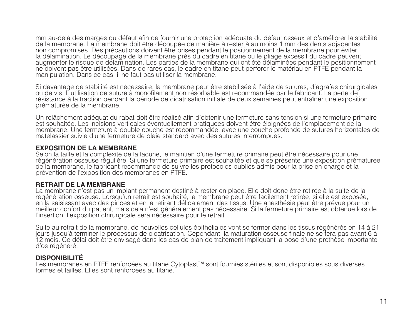mm au-delà des marges du défaut afin de fournir une protection adéquate du défaut osseux et d'améliorer la stabilité de la membrane. La membrane doit être découpée de manière à rester à au moins 1 mm des dents adjacentes non compromises. Des précautions doivent être prises pendant le positionnement de la membrane pour éviter la délamination. Le découpage de la membrane près du cadre en titane ou le pliage excessif du cadre peuvent augmenter le risque de délamination. Les parties de la membrane qui ont été délaminées pendant le positionnement ne doivent pas être utilisées. Dans de rares cas, le cadre en titane peut perforer le matériau en PTFE pendant la manipulation. Dans ce cas, il ne faut pas utiliser la membrane.

Si davantage de stabilité est nécessaire, la membrane peut être stabilisée à l'aide de sutures, d'agrafes chirurgicales ou de vis. L'utilisation de suture à monofilament non résorbable est recommandée par le fabricant. La perte de résistance à la traction pendant la période de cicatrisation initiale de deux semaines peut entraîner une exposition prématurée de la membrane.

Un relâchement adéquat du rabat doit être réalisé afin d'obtenir une fermeture sans tension si une fermeture primaire est souhaitée. Les incisions verticales éventuellement pratiquées doivent être éloignées de l'emplacement de la membrane. Une fermeture à double couche est recommandée, avec une couche profonde de sutures horizontales de matelassier suivie d'une fermeture de plaie standard avec des sutures interrompues.

#### **EXPOSITION DE LA MEMBRANE**

Selon la taille et la complexité de la lacune, le maintien d'une fermeture primaire peut être nécessaire pour une<br>régénération osseuse régulière. Si une fermeture primaire est souhaitée et que se présente une exposition pr de la membrane, le fabricant recommande de suivre les protocoles publiés admis pour la prise en charge et la prévention de l'exposition des membranes en PTFE.

#### **RETRAIT DE LA MEMBRANE**

La membrane n'est pas un implant permanent destiné à rester en place. Elle doit donc être retirée à la suite de la régénération osseuse. Lorsqu'un retrait est souhaité, la membrane peut être facilement retirée, si elle est exposée, en la saisissant avec des pinces et en la retirant délicatement des tissus. Une anesthésie peut être prévue pour un meilleur confort du patient, mais cela n'est généralement pas nécessaire. Si la fermeture primaire est obtenue lors de l'insertion, l'exposition chirurgicale sera nécessaire pour le retrait.

Suite au retrait de la membrane, de nouvelles cellules épithéliales vont se former dans les tissus régénérés en 14 à 21<br>jours jusqu'à terminer le processus de cicatrisation. Cependant, la maturation osseuse finale ne se fe d'os régénéré.

#### **DISPONIBILITÉ**

Les membranes en PTFE renforcées au titane Cytoplast™ sont fournies stériles et sont disponibles sous diverses formes et tailles. Elles sont renforcées au titane.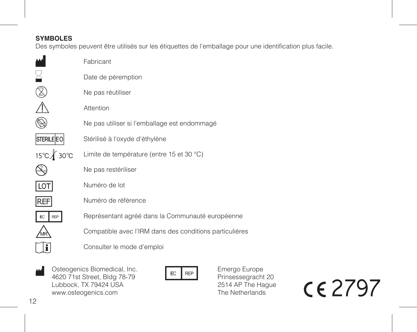# **SYMBOLES**

Des symboles peuvent être utilisés sur les étiquettes de l'emballage pour une identification plus facile.

|                   | Fabricant                                               |
|-------------------|---------------------------------------------------------|
|                   | Date de péremption                                      |
|                   | Ne pas réutiliser                                       |
|                   | Attention                                               |
|                   | Ne pas utiliser si l'emballage est endommagé            |
| <b>STERILE EO</b> | Stérilisé à l'oxyde d'éthylène                          |
| 15℃ 30℃           | Limite de température (entre 15 et 30 °C)               |
|                   | Ne pas restériliser                                     |
|                   | Numéro de lot                                           |
| REF               | Numéro de référence                                     |
| <b>REP</b>        | Représentant agréé dans la Communauté européenne        |
|                   | Compatible avec l'IRM dans des conditions particulières |
|                   | Consulter le mode d'emploi                              |
|                   |                                                         |

Osteogenics Biomedical, Inc. W Osteogenics Biomedical, Inc.<br>4620 71st Street, Bldg 78-79<br>Hubbook TX 79424 HSA Lubbock, TX 79424 USA www.osteogenics.com

Emergo Europe Prinsessegracht 20 2514 AP The Hague The Netherlands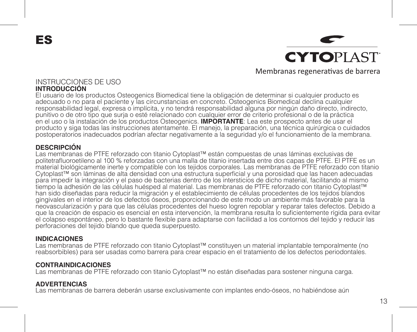ES

**CYTOPIAST** Membranas regenerativas de barrera

## INSTRUCCIONES DE USO **INTRODUCCIÓN**

El usuario de los productos Osteogenics Biomedical tiene la obligación de determinar si cualquier producto es adecuado o no para el paciente y las circunstancias en concreto. Osteogenics Biomedical declina cualquier responsabilidad legal, expresa o implícita, y no tendrá responsabilidad alguna por ningún daño directo, indirecto, punitivo o de otro tipo que surja o esté relacionado con cualquier error de criterio profesional o de la práctica en el uso o la instalación de los productos Osteogenics. **IMPORTANTE**: Lea este prospecto antes de usar el producto y siga todas las instrucciones atentamente. El manejo, la preparación, una técnica quirúrgica o cuidados postoperatorios inadecuados podrían afectar negativamente a la seguridad y/o el funcionamiento de la membrana.

# **DESCRIPCIÓN**

Las membranas de PTFE reforzado con titanio Cytoplast™ están compuestas de unas láminas exclusivas de politetrafluoroetileno al 100 % reforzadas con una malla de titanio insertada entre dos capas de PTFE. El PTFE es un material biológicamente inerte y compatible con los tejidos corporales. Las membranas de PTFE reforzado con titanio Cytoplast™ son láminas de alta densidad con una estructura superficial y una porosidad que las hacen adecuadas para impedir la integración y el paso de bacterias dentro de los intersticios de dicho material, facilitando al mismo tiempo la adhesión de las células huésped al material. Las membranas de PTFE reforzado con titanio Cytoplast™ han sido diseñadas para reducir la migración y el establecimiento de células procedentes de los tejidos blandos gingivales en el interior de los defectos óseos, proporcionando de este modo un ambiente más favorable para la neovascularización y para que las células procedentes del hueso logren repoblar y reparar tales defectos. Debido a que la creación de espacio es esencial en esta intervención, la membrana resulta lo suficientemente rígida para evitar el colapso espontáneo, pero lo bastante flexible para adaptarse con facilidad a los contornos del tejido y reducir las perforaciones del tejido blando que queda superpuesto.

#### **INDICACIONES**

Las membranas de PTFE reforzado con titanio Cytoplast™ constituyen un material implantable temporalmente (no reabsorbibles) para ser usadas como barrera para crear espacio en el tratamiento de los defectos periodontales.

## **CONTRAINDICACIONES**

Las membranas de PTFE reforzado con titanio Cytoplast™ no están diseñadas para sostener ninguna carga.

## **ADVERTENCIAS**

Las membranas de barrera deberán usarse exclusivamente con implantes endo-óseos, no habiéndose aún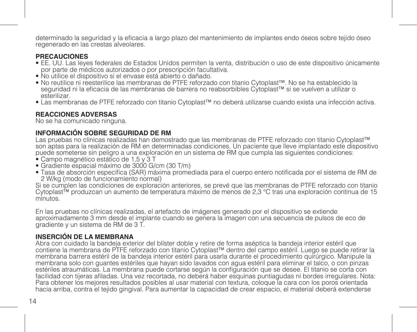determinado la seguridad y la eficacia a largo plazo del mantenimiento de implantes endo óseos sobre tejido óseo regenerado en las crestas alveolares.

## **PRECAUCIONES**

- EE. UU. Las leyes federales de Estados Unidos permiten la venta, distribución o uso de este dispositivo únicamente por parte de médicos autorizados o por prescripción facultativa.
- No utilice el dispositivo si el envase está abierto o dañado.
- No reutilice ni reesterilice las membranas de PTFE reforzado con titanio Cytoplast™. No se ha establecido la seguridad ni la eficacia de las membranas de barrera no reabsorbibles Cytoplast™ si se vuelven a utilizar o esterilizar.
- Las membranas de PTFE reforzado con titanio Cytoplast™ no deberá utilizarse cuando exista una infección activa.

## **REACCIONES ADVERSAS**

No se ha comunicado ninguna.

# **INFORMACIÓN SOBRE SEGURIDAD DE RM**

Las pruebas no clínicas realizadas han demostrado que las membranas de PTFE reforzado con titanio Cytoplast™ son aptas para la realización de RM en determinadas condiciones. Un paciente que lleve implantado este dispositivo puede someterse sin peligro a una exploración en un sistema de RM que cumpla las siguientes condiciones:

- Campo magnético estático de 1,5 y 3 T
- Gradiente espacial máximo de 3000 G/cm (30 T/m)
- Tasa de absorción específica (SAR) máxima promediada para el cuerpo entero notificada por el sistema de RM de 2 W/kg (modo de funcionamiento normal)

Si se cumplen las condiciones de exploración anteriores, se prevé que las membranas de PTFE reforzado con titanio Cytoplast™ produzcan un aumento de temperatura máximo de menos de 2,3 °C tras una exploración continua de 15<br>minutos

En las pruebas no clínicas realizadas, el artefacto de imágenes generado por el dispositivo se extiende aproximadamente 3 mm desde el implante cuando se genera la imagen con una secuencia de pulsos de eco de gradiente y un sistema de RM de 3 T.

# **INSERCIÓN DE LA MEMBRANA**

Abra con cuidado la bandeja exterior del blíster doble y retire de forma aséptica la bandeja interior estéril que contiene la membrana de PTFE reforzado con titanio Cytoplast™ dentro del campo estéril. Luego se puede retirar la membrana barrera estéril de la bandeja interior estéril para usarla durante el procedimiento quirúrgico. Manipule la membrana solo con guantes estériles que hayan sido lavados con agua estéril para eliminar el talco, o con pinzas estériles atraumáticas. La membrana puede cortarse según la configuración que se desee. El titanio se corta con facilidad con tijeras afiladas. Una vez recortada, no deberá haber esquinas puntiagudas ni bordes irregulares. Nota: Para obtener los mejores resultados posibles al usar material con textura, coloque la cara con los poros orientada hacia arriba, contra el tejido gingival. Para aumentar la capacidad de crear espacio, el material deberá extenderse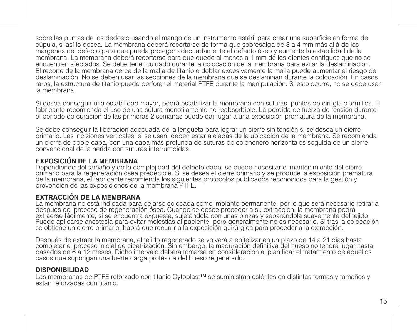sobre las puntas de los dedos o usando el mango de un instrumento estéril para crear una superficie en forma de cúpula, si así lo desea. La membrana deberá recortarse de forma que sobresalga de 3 a 4 mm más allá de los márgenes del defecto para que pueda proteger adecuadamente el defecto óseo y aumente la estabilidad de la membrana. La membrana deberá recortarse para que quede al menos a 1 mm de los dientes contiguos que no se encuentren afectados. Se debe tener cuidado durante la colocación de la membrana para evitar la deslaminación. El recorte de la membrana cerca de la malla de titanio o doblar excesivamente la malla puede aumentar el riesgo de deslaminación. No se deben usar las secciones de la membrana que se deslaminan durante la colocación. En casos raros, la estructura de titanio puede perforar el material PTFE durante la manipulación. Si esto ocurre, no se debe usar la membrana.

Si desea conseguir una estabilidad mayor, podrá estabilizar la membrana con suturas, puntos de cirugía o tornillos. El fabricante recomienda el uso de una sutura monofilamento no reabsorbible. La pérdida de fuerza de tensión durante el periodo de curación de las primeras 2 semanas puede dar lugar a una exposición prematura de la membrana.

Se debe conseguir la liberación adecuada de la lengüeta para lograr un cierre sin tensión si se desea un cierre primario. Las incisiones verticales, si se usan, deben estar alejadas de la ubicación de la membrana. Se recomienda un cierre de doble capa, con una capa más profunda de suturas de colchonero horizontales seguida de un cierre convencional de la herida con suturas interrumpidas.

## **EXPOSICIÓN DE LA MEMBRANA**

Dependiendo del tamaño y de la complejidad del defecto dado, se puede necesitar el mantenimiento del cierre primario para la regeneración ósea predecible. Si se desea el cierre primario y se produce la exposición prematura de la membrana, el fabricante recomienda los siguientes protocolos publicados reconocidos para la gestión y prevención de las exposiciones de la membrana PTFE.

# **EXTRACCIÓN DE LA MEMBRANA**

La membrana no está indicada para dejarse colocada como implante permanente, por lo que será necesario retirarla después del proceso de regeneración ósea. Cuando se desee proceder a su extracción, la membrana podrá extraerse fácilmente, si se encuentra expuesta, sujetándola con unas pinzas y separándola suavemente del tejido. Puede aplicarse anestesia para evitar molestias al paciente, pero generalmente no es necesario. Si tras la colocación se obtiene un cierre primario, habrá que recurrir a la exposición quirúrgica para proceder a la extracción.

Después de extraer la membrana, el tejido regenerado se volverá a epitelizar en un plazo de 14 a 21 días hasta<br>completar el proceso inicial de cicatrización. Sin embargo, la maduración definitiva del hueso no tendrá lugar

#### **DISPONIBILIDAD**

Las membranas de PTFE reforzado con titanio Cytoplast™ se suministran estériles en distintas formas y tamaños y están reforzadas con titanio.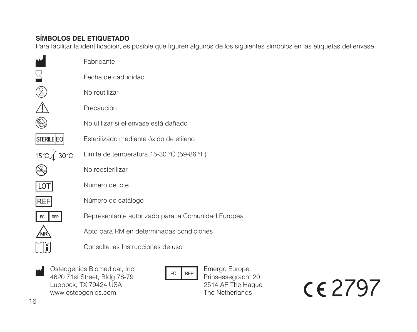# **SÍMBOLOS DEL ETIQUETADO**

Para facilitar la identificación, es posible que figuren algunos de los siguientes símbolos en las etiquetas del envase.

|                   | Fabricante                                         |
|-------------------|----------------------------------------------------|
|                   | Fecha de caducidad                                 |
|                   | No reutilizar                                      |
|                   | Precaución                                         |
|                   | No utilizar si el envase está dañado               |
| <b>STERILE EO</b> | Esterilizado mediante óxido de etileno             |
| 15℃∦ 30℃          | Límite de temperatura 15-30 °C (59-86 °F)          |
|                   | No reesterilizar                                   |
| LO <sub>T</sub>   | Número de lote                                     |
| <b>REF</b>        | Número de catálogo                                 |
| EC<br>RFP         | Representante autorizado para la Comunidad Europea |
|                   | Apto para RM en determinadas condiciones           |
|                   | Consulte las Instrucciones de uso                  |
|                   |                                                    |

Osteogenics Biomedical, Inc. Mark Osteogenics Biomedical, Inc.<br>4620 71st Street, Bldg 78-79<br>Lubbock, TX 79424 USA www.osteogenics.com

Emergo Europe Prinsessegracht 20 2514 AP The Hague The Netherlands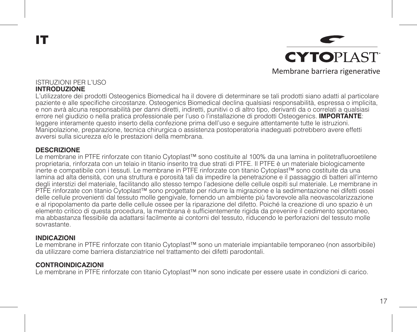IT

**CYTOPLAST** Membrane barriera rigenerative

#### ISTRUZIONI PER L'USO **INTRODUZIONE**

L'utilizzatore dei prodotti Osteogenics Biomedical ha il dovere di determinare se tali prodotti siano adatti al particolare paziente e alle specifiche circostanze. Osteogenics Biomedical declina qualsiasi responsabilità, espressa o implicita, e non avrà alcuna responsabilità per danni diretti, indiretti, punitivi o di altro tipo, derivanti da o correlati a qualsiasi errore nel giudizio o nella pratica professionale per l'uso o l'installazione di prodotti Osteogenics. **IMPORTANTE**: leggere interamente questo inserto della confezione prima dell'uso e seguire attentamente tutte le istruzioni. Manipolazione, preparazione, tecnica chirurgica o assistenza postoperatoria inadeguati potrebbero avere effetti avversi sulla sicurezza e/o le prestazioni della membrana.

#### **DESCRIZIONE**

Le membrane in PTFE rinforzate con titanio Cytoplast™ sono costituite al 100% da una lamina in politetrafluoroetilene proprietaria, rinforzata con un telaio in titanio inserito tra due strati di PTFE. Il PTFE è un materiale biologicamente inerte e compatibile con i tessuti. Le membrane in PTFE rinforzate con titanio Cytoplast™ sono costituite da una lamina ad alta densità, con una struttura e porosità tali da impedire la penetrazione e il passaggio di batteri all'interno degli interstizi del materiale, facilitando allo stesso tempo l'adesione delle cellule ospiti sul materiale. Le membrane in PTFE rinforzate con titanio Cytoplast™ sono progettate per ridurre la migrazione e la sedimentazione nei difetti ossei delle cellule provenienti dal tessuto molle gengivale, fornendo un ambiente più favorevole alla neovascolarizzazione e al ripopolamento da parte delle cellule ossee per la riparazione del difetto. Poiché la creazione di uno spazio è un elemento critico di questa procedura, la membrana è sufficientemente rigida da prevenire il cedimento spontaneo, ma abbastanza flessibile da adattarsi facilmente ai contorni del tessuto, riducendo le perforazioni del tessuto molle sovrastante.

#### **INDICAZIONI**

Le membrane in PTFE rinforzate con titanio Cytoplast™ sono un materiale impiantabile temporaneo (non assorbibile) da utilizzare come barriera distanziatrice nel trattamento dei difetti parodontali.

#### **CONTROINDICAZIONI**

Le membrane in PTFE rinforzate con titanio Cytoplast™ non sono indicate per essere usate in condizioni di carico.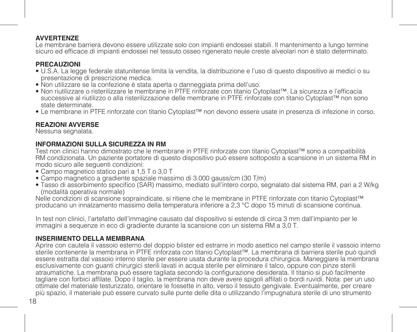## **AVVERTENZE**

Le membrane barriera devono essere utilizzate solo con impianti endossei stabili. Il mantenimento a lungo termine sicuro ed efficace di impianti endossei nel tessuto osseo rigenerato neule creste alveolari non è stato determinato.

# **PRECAUZIONI**

- U.S.A. La legge federale statunitense limita la vendita, la distribuzione e l'uso di questo dispositivo ai medici o su presentazione di prescrizione medica.
- Non utilizzare se la confezione è stata aperta o danneggiata prima dell'uso.
- Non riutilizzare o risterilizzare le membrane in PTFE rinforzate con titanio Cytoplast™. La sicurezza e l'efficacia successive al riutilizzo o alla risterilizzazione delle membrane in PTFE rinforzate con titanio Cytoplast™ non sono state determinate.
- Le membrane in PTFE rinforzate con titanio Cytoplast™ non devono essere usate in presenza di infezione in corso.

# **REAZIONI AVVERSE**

Nessuna segnalata.

## **INFORMAZIONI SULLA SICUREZZA IN RM**

Test non clinici hanno dimostrato che le membrane in PTFE rinforzate con titanio Cytoplast™ sono a compatibilità RM condizionata. Un paziente portatore di questo dispositivo può essere sottoposto a scansione in un sistema RM in modo sicuro alle seguenti condizioni:

- Campo magnetico statico pari a 1,5 T o 3,0 T
- Campo magnetico a gradiente spaziale massimo di 3.000 gauss/cm (30 T/m)
- Tasso di assorbimento specifico (SAR) massimo, mediato sull'intero corpo, segnalato dal sistema RM, pari a 2 W/kg (modalità operativa normale)

Nelle condizioni di scansione sopraindicate, si ritiene che le membrane in PTFE rinforzate con titanio Cytoplast™ producano un innalzamento massimo della temperatura inferiore a 2,3 °C dopo 15 minuti di scansione continua.

In test non clinici, l'artefatto dell'immagine causato dal dispositivo si estende di circa 3 mm dall'impianto per le immagini a sequenze in eco di gradiente durante la scansione con un sistema RM a 3,0 T.

## **INSERIMENTO DELLA MEMBRANA**

Aprire con cautela il vassoio esterno del doppio blister ed estrarre in modo asettico nel campo sterile il vassoio interno sterile contenente la membrana in PTFE rinforzata con titanio Cytoplast™. La membrana di barriera sterile può quindi essere estratta dal vassoio interno sterile per essere usata durante la procedura chirurgica. Maneggiare la membrana esclusivamente con guanti chirurgici sterili lavati in acqua sterile per eliminare il talco, oppure con pinze sterili atraumatiche. La membrana può essere tagliata secondo la configurazione desiderata. Il titanio si può facilmente tagliare con forbici affilate. Dopo il taglio, la membrana non deve avere spigoli affilati o bordi ruvidi. Nota: per un uso ottimale del materiale testurizzato, orientare le fossette in alto, verso il tessuto gengivale. Eventualmente, per creare più spazio, il materiale può essere curvato sulle punte delle dita o utilizzando l'impugnatura sterile di uno strumento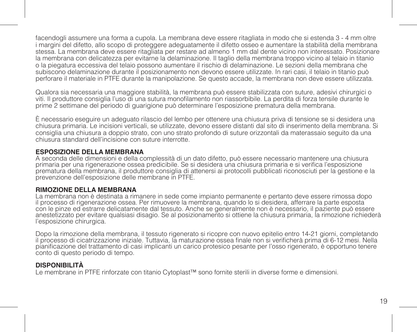facendogli assumere una forma a cupola. La membrana deve essere ritagliata in modo che si estenda 3 - 4 mm oltre i margini del difetto, allo scopo di proteggere adeguatamente il difetto osseo e aumentare la stabilità della membrana stessa. La membrana deve essere ritagliata per restare ad almeno 1 mm dal dente vicino non interessato. Posizionare la membrana con delicatezza per evitarne la delaminazione. Il taglio della membrana troppo vicino al telaio in titanio o la piegatura eccessiva del telaio possono aumentare il rischio di delaminazione. Le sezioni della membrana che subiscono delaminazione durante il posizionamento non devono essere utilizzate. In rari casi, il telaio in titanio può perforare il materiale in PTFE durante la manipolazione. Se questo accade, la membrana non deve essere utilizzata.

Qualora sia necessaria una maggiore stabilità, la membrana può essere stabilizzata con suture, adesivi chirurgici o viti. Il produttore consiglia l'uso di una sutura monofilamento non riassorbibile. La perdita di forza tensile durante le prime 2 settimane del periodo di guarigione può determinare l'esposizione prematura della membrana.

È necessario eseguire un adeguato rilascio del lembo per ottenere una chiusura priva di tensione se si desidera una chiusura primaria. Le incisioni verticali, se utilizzate, devono essere distanti dal sito di inserimento della membrana. Si consiglia una chiusura a doppio strato, con uno strato profondo di suture orizzontali da materassaio seguito da una chiusura standard dell'incisione con suture interrotte.

#### **ESPOSIZIONE DELLA MEMBRANA**

A seconda delle dimensioni e della complessità di un dato difetto, può essere necessario mantenere una chiusura primaria per una rigenerazione ossea predicibile. Se si desidera una chiusura primaria e si verifica l'esposizione prematura della membrana, il produttore consiglia di attenersi ai protocolli pubblicati riconosciuti per la gestione e la prevenzione dell'esposizione delle membrane in PTFE.

#### **RIMOZIONE DELLA MEMBRANA**

La membrana non è destinata a rimanere in sede come impianto permanente e pertanto deve essere rimossa dopo il processo di rigenerazione ossea. Per rimuovere la membrana, quando lo si desidera, afferrare la parte esposta con le pinze ed estrarre delicatamente dal tessuto. Anche se generalmente non è necessario, il paziente può essere anestetizzato per evitare qualsiasi disagio. Se al posizionamento si ottiene la chiusura primaria, la rimozione richiederà l'esposizione chirurgica.

Dopo la rimozione della membrana, il tessuto rigenerato si ricopre con nuovo epitelio entro 14-21 giorni, completando il processo di cicatrizzazione iniziale. Tuttavia, la maturazione ossea finale non si verificherà prima di 6-12 mesi. Nella pianificazione del trattamento di casi implicanti un carico protesico pesante per l'osso rigenerato, è opportuno tenere conto di questo periodo di tempo.

#### **DISPONIBILITÀ**

Le membrane in PTFE rinforzate con titanio Cytoplast™ sono fornite sterili in diverse forme e dimensioni.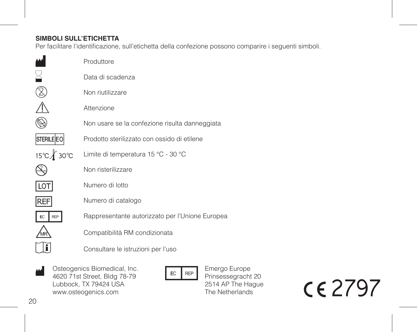# **SIMBOLI SULL'ETICHETTA**

Per facilitare l'identificazione, sull'etichetta della confezione possono comparire i seguenti simboli.

|                   | Produttore                                      |
|-------------------|-------------------------------------------------|
|                   | Data di scadenza                                |
|                   | Non riutilizzare                                |
|                   | Attenzione                                      |
|                   | Non usare se la confezione risulta danneggiata  |
| <b>STERILE EO</b> | Prodotto sterilizzato con ossido di etilene     |
| 15℃∦ 30℃          | Limite di temperatura 15 °C - 30 °C             |
|                   | Non risterilizzare                              |
| LOT               | Numero di lotto                                 |
| <b>REF</b>        | Numero di catalogo                              |
| EC<br>REP         | Rappresentante autorizzato per l'Unione Europea |
|                   | Compatibilità RM condizionata                   |
|                   | Consultare le istruzioni per l'uso              |
|                   |                                                 |

Osteogenics Biomedical, Inc. W Osteogenics Biomedical, Inc.<br>4620 71st Street, Bldg 78-79<br>Hubbock TX 79424 HSA Lubbock, TX 79424 USA www.osteogenics.com

Emergo Europe Prinsessegracht 20 2514 AP The Hague The Netherlands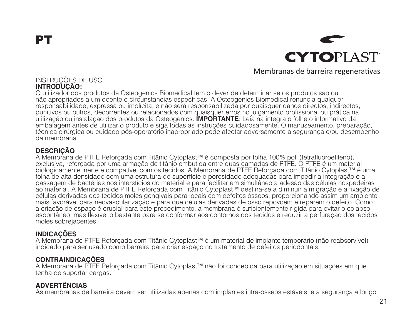PT

**CYTOPIAST** Membranas de barreira regenerativas

## INSTRUÇÕES DE USO **INTRODUÇÃO:**

O utilizador dos produtos da Osteogenics Biomedical tem o dever de determinar se os produtos são ou não apropriados a um doente e circunstâncias específicas. A Osteogenics Biomedical renuncia qualquer responsabilidade, expressa ou implícita, e não será responsabilizada por quaisquer danos directos, indirectos, punitivos ou outros, decorrentes ou relacionados com quaisquer erros no julgamento profissional ou prática na utilização ou instalação dos produtos da Osteogenics. **IMPORTANTE**: Leia na íntegra o folheto informativo da embalagem antes de utilizar o produto e siga todas as instruções cuidadosamente. O manuseamento, preparação, técnica cirúrgica ou cuidado pós-operatório inapropriado pode afectar adversamente a segurança e/ou desempenho da membrana.

# **DESCRIÇÃO**

A Membrana de PTFE Reforçada com Titânio Cytoplast™ é composta por folha 100% poli (tetrafluoroetileno), exclusiva, reforçada por uma armação de titânio embutida entre duas camadas de PTFE. O PTFE é um material biologicamente inerte e compatível com os tecidos. A Membrana de PTFE Reforçada com Titânio Cytoplast™ é uma folha de alta densidade com uma estrutura de superfície e porosidade adequadas para impedir a integração e a passagem de bactérias nos interstícios do material e para facilitar em simultâneo a adesão das células hospedeiras ao material. A Membrana de PTFE Reforçada com Titânio Cytoplast™ destina-se a diminuir a migração e a fixação de células derivadas dos tecidos moles gengivais para locais com defeitos ósseos, proporcionando assim um ambiente mais favorável para neovascularização e para que células derivadas de osso repovoem e reparem o defeito. Como a criação de espaço é crucial para este procedimento, a membrana é suficientemente rígida para evitar o colapso espontâneo, mas flexível o bastante para se conformar aos contornos dos tecidos e reduzir a perfuração dos tecidos moles sobrejacentes.

# **INDICAÇÕES**

A Membrana de PTFE Reforçada com Titânio Cytoplast™ é um material de implante temporário (não reabsorvível) indicado para ser usado como barreira para criar espaço no tratamento de defeitos periodontais.

# **CONTRAINDICAÇÕES**

A Membrana de PTFE Reforçada com Titânio Cytoplast™ não foi concebida para utilização em situações em que tenha de suportar cargas.

# **ADVERTÊNCIAS**

As membranas de barreira devem ser utilizadas apenas com implantes intra-ósseos estáveis, e a segurança a longo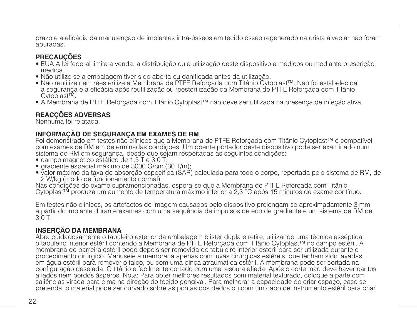prazo e a eficácia da manutenção de implantes intra-ósseos em tecido ósseo regenerado na crista alveolar não foram apuradas.

# **PRECAUÇÕES**

- EUA A lei federal limita a venda, a distribuição ou a utilização deste dispositivo a médicos ou mediante prescrição médica.<br>• Não utilize se a embalagem tiver sido aberta ou danificada antes da utilização.
- 
- Não reutilize nem reesterilize a Membrana de PTFE Reforcada com Titânio Cytoplast™. Não foi estabelecida a segurança e a eficácia após reutilização ou reesterilização da Membrana de PTFE Reforçada com Titânio Cytoplast™.
- A Membrana de PTFE Reforçada com Titânio Cytoplast™ não deve ser utilizada na presença de infeção ativa.

# **REACÇÕES ADVERSAS**

Nenhuma foi relatada.

# **INFORMAÇÃO DE SEGURANÇA EM EXAMES DE RM**

Foi demonstrado em testes não clínicos que a Membrana de PTFE Reforçada com Titânio Cytoplast™ é compatível com exames de RM em determinadas condições. Um doente portador deste dispositivo pode ser examinado num sistema de RM em segurança, desde que sejam respeitadas as seguintes condições:

- campo magnético estático de 1,5 T e 3,0 T;
- gradiente espacial máximo de 3000 G/cm (30 T/m);
- valor máximo da taxa de absorção específica (SAR) calculada para todo o corpo, reportada pelo sistema de RM, de 2 W/kg (modo de funcionamento normal)

Nas condições de exame supramencionadas, espera-se que a Membrana de PTFE Reforçada com Titânio Cytoplast™ produza um aumento de temperatura máximo inferior a 2,3 °C após 15 minutos de exame contínuo.

Em testes não clínicos, os artefactos de imagem causados pelo dispositivo prolongam-se aproximadamente 3 mm a partir do implante durante exames com uma sequência de impulsos de eco de gradiente e um sistema de RM de  $30T$ 

# **INSERÇÃO DA MEMBRANA**

Abra cuidadosamente o tabuleiro exterior da embalagem blister dupla e retire, utilizando uma técnica asséptica, o tabuleiro interior estéril contendo a Membrana de PTFE Reforçada com Titânio Cytoplast™ no campo estéril. A membrana de barreira estéril pode depois ser removida do tabuleiro interior estéril para ser utilizada durante o procedimento cirúrgico. Manuseie a membrana apenas com luvas cirúrgicas estéreis, que tenham sido lavadas em água estéril para remover o talco, ou com uma pinça atraumática estéril. A membrana pode ser cortada na configuração desejada. O titânio é facilmente cortado com uma tesoura afiada. Após o corte, não deve haver cantos afiados nem bordos ásperos. Nota: Para obter melhores resultados com material texturado, coloque a parte com saliências virada para cima na direção do tecido gengival. Para melhorar a capacidade de criar espaço, caso se pretenda, o material pode ser curvado sobre as pontas dos dedos ou com um cabo de instrumento estéril para criar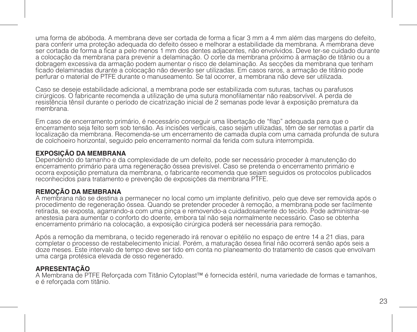uma forma de abóboda. A membrana deve ser cortada de forma a ficar 3 mm a 4 mm além das margens do defeito, para conferir uma proteção adequada do defeito ósseo e melhorar a estabilidade da membrana. A membrana deve ser cortada de forma a ficar a pelo menos 1 mm dos dentes adjacentes, não envolvidos. Deve ter-se cuidado durante a colocação da membrana para prevenir a delaminação. O corte da membrana próximo à armação de titânio ou a dobragem excessiva da armação podem aumentar o risco de delaminação. As secções da membrana que tenham ficado delaminadas durante a colocação não deverão ser utilizadas. Em casos raros, a armação de titânio pode perfurar o material de PTFE durante o manuseamento. Se tal ocorrer, a membrana não deve ser utilizada.

Caso se deseje estabilidade adicional, a membrana pode ser estabilizada com suturas, tachas ou parafusos cirúrgicos. O fabricante recomenda a utilização de uma sutura monofilamentar não reabsorvível. A perda de resistência tênsil durante o período de cicatrização inicial de 2 semanas pode levar à exposição prematura da membrana.

Em caso de encerramento primário, é necessário conseguir uma libertação de "flap" adequada para que o encerramento seja feito sem sob tensão. As incisões verticais, caso sejam utilizadas, têm de ser remotas a partir da localização da membrana. Recomenda-se um encerramento de camada dupla com uma camada profunda de sutura de colchoeiro horizontal, seguido pelo encerramento normal da ferida com sutura interrompida.

## **EXPOSIÇÃO DA MEMBRANA**

Dependendo do tamanho e da complexidade de um defeito, pode ser necessário proceder à manutenção do encerramento primário para uma regeneração óssea previsível. Caso se pretenda o encerramento primário e ocorra exposição prematura da membrana, o fabricante recomenda que sejam seguidos os protocolos publicados reconhecidos para tratamento e prevenção de exposições da membrana PTFE.

# **REMOÇÃO DA MEMBRANA**

A membrana não se destina a permanecer no local como um implante definitivo, pelo que deve ser removida após o procedimento de regeneração óssea. Quando se pretender proceder à remoção, a membrana pode ser facilmente retirada, se exposta, agarrando-a com uma pinça e removendo-a cuidadosamente do tecido. Pode administrar-se anestesia para aumentar o conforto do doente, embora tal não seja normalmente necessário. Caso se obtenha encerramento primário na colocação, a exposição cirúrgica poderá ser necessária para remoção.

Após a remoção da membrana, o tecido regenerado irá renovar o epitélio no espaço de entre 14 a 21 dias, para completar o processo de restabelecimento inicial. Porém, a maturação óssea final não ocorrerá senão após seis a doze meses. Este intervalo de tempo deve ser tido em conta no planeamento do tratamento de casos que envolvam uma carga protésica elevada de osso regenerado.

## **APRESENTAÇÃO**

A Membrana de PTFE Reforçada com Titânio Cytoplast™ é fornecida estéril, numa variedade de formas e tamanhos, e é reforçada com titânio.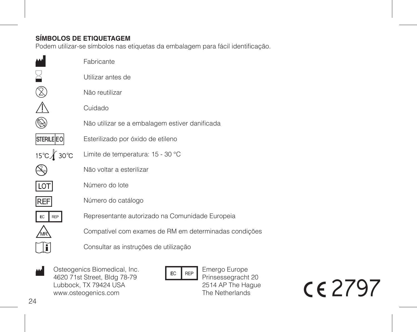# **SÍMBOLOS DE ETIQUETAGEM**

Podem utilizar-se símbolos nas etiquetas da embalagem para fácil identificação.

|                   | Fabricante                                            |
|-------------------|-------------------------------------------------------|
|                   | Utilizar antes de                                     |
|                   | Não reutilizar                                        |
|                   | Cuidado                                               |
|                   | Não utilizar se a embalagem estiver danificada        |
| <b>STERILE EO</b> | Esterilizado por óxido de etileno                     |
| 15℃∦ 30℃          | Limite de temperatura: 15 - 30 °C                     |
|                   | Não voltar a esterilizar                              |
| LOT               | Número do lote                                        |
| REF               | Número do catálogo                                    |
| EC<br>RFP         | Representante autorizado na Comunidade Europeia       |
|                   | Compatível com exames de RM em determinadas condições |
|                   | Consultar as instruções de utilização                 |
|                   |                                                       |

Osteogenics Biomedical, Inc. 4620 71st Street, Bldg 78-79 Lubbock, TX 79424 USA www.osteogenics.com M

EC REP

Emergo Europe Prinsessegracht 20 2514 AP The Hague The Netherlands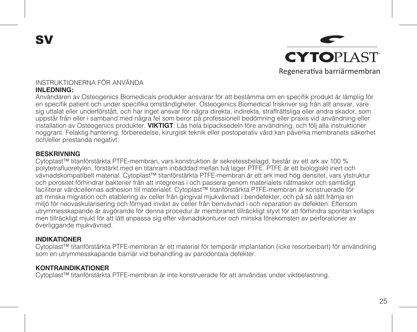SV



#### INSTRUKTIONERNA FÖR ANVÄNDA **INLEDNING:**

Användaren av Osteogenics Biomedicals produkter ansvarar för att bestämma om en specifik produkt är lämplig för en specifik patient och under specifika omständigheter. Osteogenics Biomedical friskriver sig från allt ansvar, vare sig uttalat eller underförstått, och har inget ansvar för några direkta, indirekta, straffrättsliga eller andra skador, som uppstår från eller i samband med några fel som beror på professionell bedömning eller praxis vid användning eller installation av Osteogenics produkter. **VIKTIGT**: Läs hela bipacksedeln före användning, och följ alla instruktioner noggrant. Felaktig hantering, förberedelse, kirurgisk teknik eller postoperativ vård kan påverka membranets säkerhet och/eller prestanda negativt.

#### **BESKRIVNING**

Cytoplast™ titanförstärkta PTFE-membran, vars konstruktion är sekretessbelagd, består av ett ark av 100 % polytetrafluoretylen, förstärkt med en titanram inbäddad mellan två lager PTFE. PTFE är ett biologiskt inert och vävnadskompatibelt material. Cytoplast™ titanförstärkta PTFE-membran är ett ark med hög densitet, vars ytstruktur och porositet förhindrar bakterier från att integreras i och passera genom materialets nätmaskor och samtidigt faciliterar värdcellernas adhesion till materialet. Cytoplast™ titanförstärkta PTFE-membran är konstruerade för att minska migration och etablering av celler från gingival mjukvävnad i bendefekter, och på så sätt främja en miljö för neovaskularisering och förnyad inväxt av celler från benvävnad i och reparation av defekten. Eftersom utrymmesskapande är avgörande för denna procedur är membranet tillräckligt styvt för att förhindra spontan kollaps men tillräckligt mjukt för att lätt anpassa sig efter vävnadskonturer och minska förekomsten av perforationer av överliggande mjukvävnad.

#### **INDIKATIONER**

Cytoplast™ titanförstärkta PTFE-membran är ett material för temporär implantation (icke resorberbart) för användning som en utrymmesskapande barriär vid behandling av parodontala defekter.

#### **KONTRAINDIKATIONER**

Cytoplast™ titanförstärkta PTFE-membran är inte konstruerade för att användas under viktbelastning.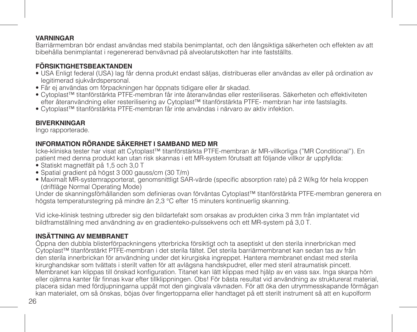## **VARNINGAR**

Barriärmembran bör endast användas med stabila benimplantat, och den långsiktiga säkerheten och effekten av att bibehålla benimplantat i regenererad benvävnad på alveolarutskotten har inte fastställts.

# **FÖRSIKTIGHETSBEAKTANDEN**

- USA Enligt federal (USA) lag får denna produkt endast säljas, distribueras eller användas av eller på ordination av legitimerad sjukvårdspersonal.
- Får ej användas om förpackningen har öppnats tidigare eller är skadad.
- Cytoplast™ titanförstärkta PTFE-membran får inte återanvändas eller resteriliseras. Säkerheten och effektiviteten efter återanvändning eller resterilisering av Cytoplast™ titanförstärkta PTFE- membran har inte fastslagits.
- Cytoplast™ titanförstärkta PTFE-membran får inte användas i närvaro av aktiv infektion.

# **BIVERKNINGAR**

Ingo rapporterade.

# **INFORMATION RÖRANDE SÄKERHET I SAMBAND MED MR**

Icke-kliniska tester har visat att Cytoplast™ titanförstärkta PTFE-membran är MR-villkorliga ("MR Conditional"). En patient med denna produkt kan utan risk skannas i ett MR-system förutsatt att följande villkor är uppfyllda:

- Statiskt magnetfält på 1,5 och 3,0 T
- Spatial gradient på högst 3 000 gauss/cm (30 T/m)
- Maximalt MR-systemrapporterat, genomsnittligt SAR-värde (specific absorption rate) på 2 W/kg för hela kroppen (driftläge Normal Operating Mode)

Under de skanningsförhållanden som definieras ovan förväntas Cytoplast™ titanförstärkta PTFE-membran generera en högsta temperaturstegring på mindre än 2,3 °C efter 15 minuters kontinuerlig skanning.

Vid icke-klinisk testning utbreder sig den bildartefakt som orsakas av produkten cirka 3 mm från implantatet vid bildframställning med användning av en gradienteko-pulssekvens och ett MR-system på 3,0 T.

# **INSÄTTNING AV MEMBRANET**

Öppna den dubbla blisterförpackningens ytterbricka försiktigt och ta aseptiskt ut den sterila innerbrickan med Cytoplast™ titanförstärkt PTFE-membran i det sterila fältet. Det sterila barriärmembranet kan sedan tas av från den sterila innerbrickan för användning under det kirurgiska ingreppet. Hantera membranet endast med sterila kirurghandskar som tvättats i sterilt vatten för att avlägsna handskpudret, eller med steril atraumatisk pincett. Membranet kan klippas till önskad konfiguration. Titanet kan lätt klippas med hjälp av en vass sax. Inga skarpa hörn eller ojämna kanter får finnas kvar efter tillklippningen. Obs! För bästa resultat vid användning av strukturerat material, placera sidan med fördjupningarna uppåt mot den gingivala vävnaden. För att öka den utrymmesskapande förmågan kan materialet, om så önskas, böjas över fingertopparna eller handtaget på ett sterilt instrument så att en kupolform

26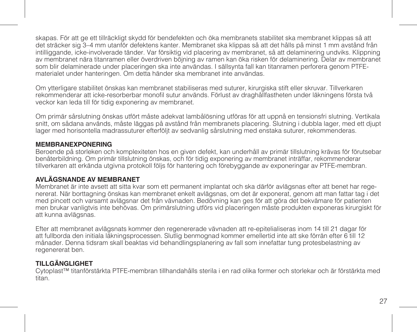skapas. För att ge ett tillräckligt skydd för bendefekten och öka membranets stabilitet ska membranet klippas så att det sträcker sig 3–4 mm utanför defektens kanter. Membranet ska klippas så att det hålls på minst 1 mm avstånd från intilliggande, icke-involverade tänder. Var försiktig vid placering av membranet, så att delaminering undviks. Klippning av membranet nära titanramen eller överdriven böjning av ramen kan öka risken för delaminering. Delar av membranet som blir delaminerade under placeringen ska inte användas. I sällsynta fall kan titanramen perforera genom PTFEmaterialet under hanteringen. Om detta händer ska membranet inte användas.

Om ytterligare stabilitet önskas kan membranet stabiliseras med suturer, kirurgiska stift eller skruvar. Tillverkaren rekommenderar att icke-resorberbar monofil sutur används. Förlust av draghållfastheten under läkningens första två veckor kan leda till för tidig exponering av membranet.

Om primär sårslutning önskas utfört måste adekvat lambålösning utföras för att uppnå en tensionsfri slutning. Vertikala snitt, om sådana används, måste läggas på avstånd från membranets placering. Slutning i dubbla lager, med ett djupt lager med horisontella madrassuturer efterföljt av sedvanlig sårslutning med enstaka suturer, rekommenderas.

#### **MEMBRANEXPONERING**

Beroende på storleken och komplexiteten hos en given defekt, kan underhåll av primär tillslutning krävas för förutsebar benåterbildning. Om primär tillslutning önskas, och för tidig exponering av membranet inträffar, rekommenderar tillverkaren att erkända utgivna protokoll följs för hantering och förebyggande av exponeringar av PTFE-membran.

## **AVLÄGSNANDE AV MEMBRANET**

Membranet är inte avsett att sitta kvar som ett permanent implantat och ska därför avlägsnas efter att benet har regenererat. När borttagning önskas kan membranet enkelt avlägsnas, om det är exponerat, genom att man fattar tag i det med pincett och varsamt avlägsnar det från vävnaden. Bedövning kan ges för att göra det bekvämare för patienten men brukar vanligtvis inte behövas. Om primärslutning utförs vid placeringen måste produkten exponeras kirurgiskt för att kunna avlägsnas.

Efter att membranet avlägsnats kommer den regenererade vävnaden att re-epitelialiseras inom 14 till 21 dagar för att fullborda den initiala läkningsprocessen. Slutlig benmognad kommer emellertid inte att ske förrän efter 6 till 12 månader. Denna tidsram skall beaktas vid behandlingsplanering av fall som innefattar tung protesbelastning av regenererat ben.

## **TILLGÄNGLIGHET**

Cytoplast™ titanförstärkta PTFE-membran tillhandahålls sterila i en rad olika former och storlekar och är förstärkta med titan.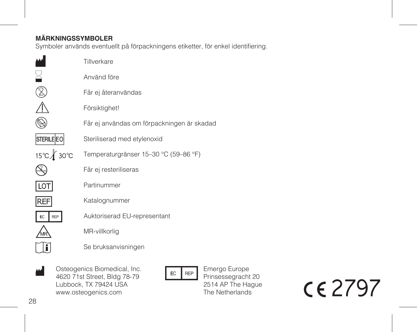# **MÄRKNINGSSYMBOLER**

Symboler används eventuellt på förpackningens etiketter, för enkel identifiering.

|                   | Tillverkare                                |
|-------------------|--------------------------------------------|
|                   | Använd före                                |
|                   | Får ej återanvändas                        |
|                   | Försiktighet!                              |
|                   | Får ej användas om förpackningen är skadad |
| <b>STERILE EO</b> | Steriliserad med etylenoxid                |
| 15℃ 30°C          | Temperaturgränser 15-30 °C (59-86 °F)      |
|                   | Får ej resteriliseras                      |
| LOT               | Partinummer                                |
| REF               | Katalognummer                              |
| EC<br><b>REP</b>  | Auktoriserad EU-representant               |
|                   | MR-villkorlig                              |
|                   | Se bruksanvisningen                        |
|                   |                                            |

Osteogenics Biomedical, Inc. M Osteogenics Biomedical, Inc.<br>4620 71st Street, Bldg 78-79<br>2 Lubbock, TX 79424 USA www.osteogenics.com

Emergo Europe Prinsessegracht 20 2514 AP The Hague The Netherlands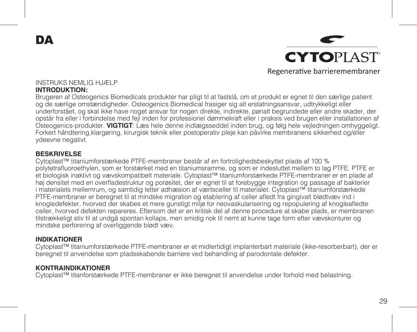DA



#### INSTRUKS NEMLIG HJÆLP **INTRODUKTION:**

Brugeren af Osteogenics Biomedicals produkter har pligt til at fastslå, om et produkt er egnet til den særlige patient og de særlige omstændigheder. Osteogenics Biomedical frasiger sig alt erstatningsansvar, udtrykkeligt eller underforstået, og skal ikke have noget ansvar for nogen direkte, indirekte, pønalt begrundede eller andre skader, der opstår fra eller i forbindelse med fejl inden for professionel dømmekraft eller i praksis ved brugen eller installationen af Osteogenics-produkter. **VIGTIGT**: Læs hele denne indlægsseddel inden brug, og følg hele vejledningen omhyggeligt. Forkert håndtering,klargøring, kirurgisk teknik eller postoperativ pleje kan påvirke membranens sikkerhed og/eller ydeevne negativt.

#### **BESKRIVELSE**

Cytoplast™ titaniumforstærkede PTFE-membraner består af en fortrolighedsbeskyttet plade af 100 % polytetrafluoroethylen, som er forstærket med en titaniumsramme, og som er indesluttet mellem to lag PTFE. PTFE er et biologisk inaktivt og vævskompatibelt materiale. Cytoplast™ titaniumforstærkede PTFE-membraner er en plade af høj densitet med en overfladestruktur og porøsitet, der er egnet til at forebygge integration og passage af bakterier i materialets mellemrum, og samtidig letter adhæsion af værtsceller til materialet. Cytoplast™ titaniumforstærkede PTFE-membraner er beregnet til at mindske migration og etablering af celler afledt fra gingivalt blødtvæv ind i knogledefekter, hvorved der skabes et mere gunstigt miljø for neovaskularisering og repopulering af knogleafledte celler, hvorved defekten repareres. Eftersom det er en kritisk del af denne procedure at skabe plads, er membranen tilstrækkeligt stiv til at undgå spontan kollaps, men smidig nok til nemt at kunne tage form efter vævskonturer og mindske perforering af overliggende blødt væv.

#### **INDIKATIONER**

Cytoplast™ titaniumforstærkede PTFE-membraner er et midlertidigt implanterbart materiale (ikke-resorberbart), der er beregnet til anvendelse som pladsskabende barriere ved behandling af parodontale defekter.

## **KONTRAINDIKATIONER**

Cytoplast™ titanforstærkede PTFE-membraner er ikke beregnet til anvendelse under forhold med belastning.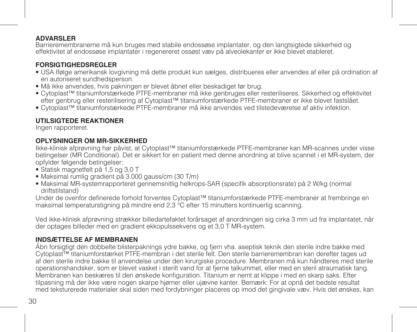## **ADVARSLER**

Barrieremembranerne må kun bruges med stabile endossøse implantater, og den langtsigtede sikkerhed og effektivitet af endossøse implantater i regenereret ossøst væv på alveolekanter er ikke blevet etableret.

# **FORSIGTIGHEDSREGLER**

- USA Ifølge amerikansk lovgivning må dette produkt kun sælges, distribueres eller anvendes af eller på ordination af en autoriseret sundhedsperson.
- Må ikke anvendes, hvis pakningen er blevet åbnet eller beskadiget før brug.
- Cytoplast™ titaniumforstærkede PTFE-membraner må ikke genbruges eller resteriliseres. Sikkerhed og effektivitet efter genbrug eller resterilisering af Cytoplast™ titaniumforstærkede PTFE-membraner er ikke blevet fastslået.
- Cytoplast™ titaniumforstærkede PTFE-membraner må ikke anvendes ved tilstedeværelse af aktiv infektion.

# **UTILSIGTEDE REAKTIONER**

Ingen rapporteret.

# **OPLYSNINGER OM MR-SIKKERHED**

Ikke-klinisk afprøvning har påvist, at Cytoplast™ titaniumforstærkede PTFE-membraner kan MR-scannes under visse betingelser (MR Conditional). Det er sikkert for en patient med denne anordning at blive scannet i et MR-system, der opfylder følgende betingelser:

- Statisk magnetfelt på 1,5 og 3,0 T
- Maksimal rumlig gradient på 3.000 gauss/cm (30 T/m)
- Maksimal MR-systemrapporteret gennemsnitlig helkrops-SAR (specifik absorptionsrate) på 2 W/kg (normal driftstilstand)

Under de ovenfor definerede forhold forventes Cytoplast™ titaniumforstærkede PTFE-membraner at frembringe en maksimal temperaturstigning på mindre end 2,3 °C efter 15 minutters kontinuerlig scanning.

Ved ikke-klinisk afprøvning strækker billedartefaktet forårsaget af anordningen sig cirka 3 mm ud fra implantatet, når der optages billeder med en gradient ekkopulssekvens og et 3,0 T MR-system.

# **INDSÆTTELSE AF MEMBRANEN**

Åbn forsigtigt den dobbelte blisterpaknings ydre bakke, og fjern vha. aseptisk teknik den sterile indre bakke med Cytoplast™ titaniumforstærket PTFE-membran i det sterile felt. Den sterile barrieremembran kan derefter tages ud af den sterile indre bakke til anvendelse under den kirurgiske procedure. Membranen må kun håndteres med sterile operationshandsker, som er blevet vasket i sterilt vand for at fjerne talkummet, eller med en steril atraumatisk tang. Membranen kan beskæres til den ønskede konfiguration. Titanium er nemt at klippe i med en skarp saks. Efter tilpasning må der ikke være nogen skarpe hjørner eller ujævne kanter. Bemærk: For at opnå det bedste resultat med teksturerede materialer skal siden med fordybninger placeres op imod det gingivale væv. Hvis det ønskes, kan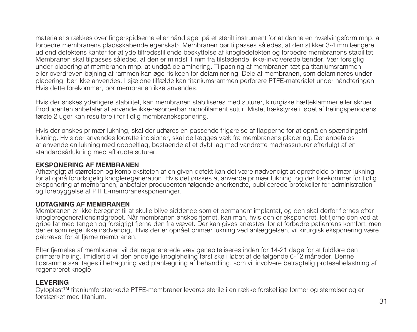materialet strækkes over fingerspidserne eller håndtaget på et sterilt instrument for at danne en hvælvingsform mhp. at forbedre membranens pladsskabende egenskab. Membranen bør tilpasses således, at den stikker 3-4 mm længere ud end defektens kanter for at yde tilfredsstillende beskyttelse af knogledefekten og forbedre membranens stabilitet. Membranen skal tilpasses således, at den er mindst 1 mm fra tilstødende, ikke-involverede tænder. Vær forsigtig under placering af membranen mhp. at undgå delaminering. Tilpasning af membranen tæt på titaniumsrammen eller overdreven bøjning af rammen kan øge risikoen for delaminering. Dele af membranen, som delamineres under placering, bør ikke anvendes. I sjældne tilfælde kan titaniumsrammen perforere PTFE-materialet under håndteringen. Hvis dette forekommer, bør membranen ikke anvendes.

Hvis der ønskes yderligere stabilitet, kan membranen stabiliseres med suturer, kirurgiske hæfteklammer eller skruer. Producenten anbefaler at anvende ikke-resorberbar monofilament sutur. Mistet trækstyrke i løbet af helingsperiodens første 2 uger kan resultere i for tidlig membraneksponering.

Hvis der ønskes primær lukning, skal der udføres en passende frigørelse af flapperne for at opnå en spændingsfri lukning. Hvis der anvendes lodrette incisioner, skal de lægges væk fra membranens placering. Det anbefales at anvende en lukning med dobbeltlag, bestående af et dybt lag med vandrette madrassuturer efterfulgt af en standardsårlukning med afbrudte suturer.

## **EKSPONERING AF MEMBRANEN**

Afhængigt af størrelsen og kompleksiteten af en given defekt kan det være nødvendigt at opretholde primær lukning for at opnå forudsigelig knogleregeneration. Hvis det ønskes at anvende primær lukning, og der forekommer for tidlig eksponering af membranen, anbefaler producenten følgende anerkendte, publicerede protokoller for administration og forebyggelse af PTFE-membraneksponeringer.

## **UDTAGNING AF MEMBRANEN**

Membranen er ikke beregnet til at skulle blive siddende som et permanent implantat, og den skal derfor fjernes efter knogleregenerationsindgrebet. Når membranen ønskes fjernet, kan man, hvis den er eksponeret, let fjerne den ved at gribe fat med tangen og forsigtigt fjerne den fra vævet. Der kan gives anæstesi for at forbedre patientens komfort, men der er som regel ikke nødvendigt. Hvis der er opnået primær lukning ved anlæggelsen, vil kirurgisk eksponering være påkrævet for at fjerne membranen.

Efter fjernelse af membranen vil det regenererede væv genepiteliseres inden for 14-21 dage for at fuldføre den primære heling. Imidlertid vil den endelige knogleheling først ske i løbet af de følgende 6-12 måneder. Denne tidsramme skal tages i betragtning ved planlægning af behandling, som vil involvere betragtelig protesebelastning af regenereret knogle.

## **LEVERING**

Cytoplast™ titaniumforstærkede PTFE-membraner leveres sterile i en række forskellige former og størrelser og er forstærket med titanium.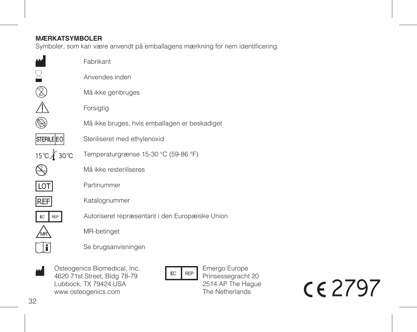# **MÆRKATSYMBOLER**

Symboler, som kan være anvendt på emballagens mærkning for nem identificering.

|                   | Fabrikant                                       |
|-------------------|-------------------------------------------------|
|                   | Anvendes inden                                  |
|                   | Må ikke genbruges                               |
|                   | Forsigtig                                       |
|                   | Må ikke bruges, hvis emballagen er beskadiget   |
| <b>STERILE EO</b> | Steriliseret med ethylenoxid                    |
| 15℃ 30℃           | Temperaturgrænse 15-30 °C (59-86 °F)            |
|                   | Må ikke resteriliseres                          |
| <b>LOT</b>        | Partinummer                                     |
| REF               | Katalognummer                                   |
| REP               | Autoriseret repræsentant i den Europæiske Union |
|                   | MR-betinget                                     |
|                   | Se brugsanvisningen                             |
|                   |                                                 |

Osteogenics Biomedical, Inc. May Osteogenics Biomedical, Inc.<br>4620 71st Street, Bldg 78-79<br>Alubbock TX 79424 USA Lubbock, TX 79424 USA www.osteogenics.com

Emergo Europe Prinsessegracht 20 2514 AP The Hague The Netherlands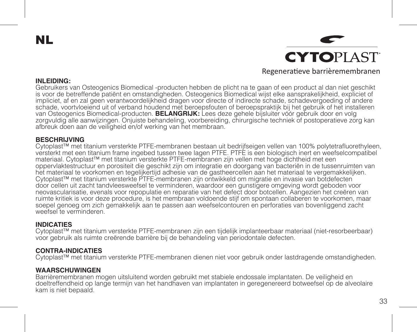NL

**CYTOPLAST** Regeneratieve barrièremembranen

#### **INLEIDING:**

Gebruikers van Osteogenics Biomedical -producten hebben de plicht na te gaan of een product al dan niet geschikt is voor de betreffende patiënt en omstandigheden. Osteogenics Biomedical wijst elke aansprakelijkheid, expliciet of impliciet, af en zal geen verantwoordelijkheid dragen voor directe of indirecte schade, schadevergoeding of andere schade, voortvloeiend uit of verband houdend met beroepsfouten of beroepspraktijk bij het gebruik of het installeren van Osteogenics Biomedical-producten. **BELANGRIJK:** Lees deze gehele bijsluiter vóór gebruik door en volg zorgvuldig alle aanwijzingen. Onjuiste behandeling, voorbereiding, chirurgische techniek of postoperatieve zorg kan afbreuk doen aan de veiligheid en/of werking van het membraan.

#### **BESCHRIJVING**

Cytoplast™ met titanium versterkte PTFE-membranen bestaan uit bedrijfseigen vellen van 100% polytetrafluorethyleen, versterkt met een titanium frame ingebed tussen twee lagen PTFE. PTFE is een biologisch inert en weefselcompatibel materiaal. Cytoplast™ met titanium versterkte PTFE-membranen zijn vellen met hoge dichtheid met een oppervlaktestructuur en porositeit die geschikt zijn om integratie en doorgang van bacteriën in de tussenruimten van het materiaal te voorkomen en tegelijkertijd adhesie van de gastheercellen aan het materiaal te vergemakkelijken. Cytoplast™ met titanium versterkte PTFE-membranen zijn ontwikkeld om migratie en invasie van botdefecten door cellen uit zacht tandvleesweefsel te verminderen, waardoor een gunstigere omgeving wordt geboden voor neovascularisatie, evenals voor repopulatie en reparatie van het defect door botcellen. Aangezien het creëren van ruimte kritiek is voor deze procedure, is het membraan voldoende stijf om spontaan collaberen te voorkomen, maar soepel genoeg om zich gemakkelijk aan te passen aan weefselcontouren en perforaties van bovenliggend zacht weefsel te verminderen

#### **INDICATIES**

Cytoplast™ met titanium versterkte PTFE-membranen zijn een tijdelijk implanteerbaar materiaal (niet-resorbeerbaar) voor gebruik als ruimte creërende barrière bij de behandeling van periodontale defecten.

## **CONTRA-INDICATIES**

Cytoplast™ met titanium versterkte PTFE-membranen dienen niet voor gebruik onder lastdragende omstandigheden.

## **WAARSCHUWINGEN**

Barrièremembranen mogen uitsluitend worden gebruikt met stabiele endossale implantaten. De veiligheid en doeltreffendheid op lange termijn van het handhaven van implantaten in geregenereerd botweefsel op de alveolaire kam is niet bepaald.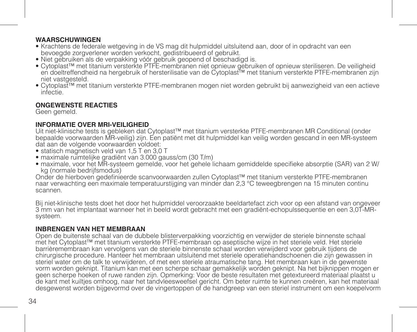## **WAARSCHUWINGEN**

- Krachtens de federale wetgeving in de VS mag dit hulpmiddel uitsluitend aan, door of in opdracht van een bevoegde zorgverlener worden verkocht, gedistribueerd of gebruikt.
- Niet gebruiken als de verpakking vóór gebruik geopend of beschadigd is.
- Cytoplast™ met titanium versterkte PTFE-membranen niet opnieuw gebruiken of opnieuw steriliseren. De veiligheid en doeltreffendheid na hergebruik of hersterilisatie van de Cytoplast™ met titanium versterkte PTFE-membranen zijn niet vastgesteld.
- Cytoplast™ met titanium versterkte PTFE-membranen mogen niet worden gebruikt bij aanwezigheid van een actieve infectie.

# **ONGEWENSTE REACTIES**

Geen gemeld.

# **INFORMATIE OVER MRI-VEILIGHEID**

Uit niet-klinische tests is gebleken dat Cytoplast™ met titanium versterkte PTFE-membranen MR Conditional (onder bepaalde voorwaarden MR-veilig) zijn. Een patiënt met dit hulpmiddel kan veilig worden gescand in een MR-systeem dat aan de volgende voorwaarden voldoet:

- statisch magnetisch veld van 1,5 T en 3,0 T
- maximale ruimtelijke gradiënt van 3.000 gauss/cm (30 T/m)
- maximale, voor het MR-systeem gemelde, voor het gehele lichaam gemiddelde specifieke absorptie (SAR) van 2 W/ kg (normale bedrijfsmodus)

Onder de hierboven gedefinieerde scanvoorwaarden zullen Cytoplast™ met titanium versterkte PTFE-membranen naar verwachting een maximale temperatuurstijging van minder dan 2,3 °C teweegbrengen na 15 minuten continu<br>scannen.

Bij niet-klinische tests doet het door het hulpmiddel veroorzaakte beeldartefact zich voor op een afstand van ongeveer 3 mm van het implantaat wanneer het in beeld wordt gebracht met een gradiënt-echopulssequentie en een 3,0T-MRsysteem.

# **INBRENGEN VAN HET MEMBRAAN**

Open de buitenste schaal van de dubbele blisterverpakking voorzichtig en verwijder de steriele binnenste schaal met het Cytoplast™ met titanium versterkte PTFE-membraan op aseptische wijze in het steriele veld. Het steriele barrièremembraan kan vervolgens van de steriele binnenste schaal worden verwijderd voor gebruik tijdens de chirurgische procedure. Hanteer het membraan uitsluitend met steriele operatiehandschoenen die zijn gewassen in steriel water om de talk te verwijderen, of met een steriele atraumatische tang. Het membraan kan in de gewenste vorm worden geknipt. Titanium kan met een scherpe schaar gemakkelijk worden geknipt. Na het bijknippen mogen er geen scherpe hoeken of ruwe randen zijn. Opmerking: Voor de beste resultaten met getextureerd materiaal plaatst u de kant met kuiltjes omhoog, naar het tandvleesweefsel gericht. Om beter ruimte te kunnen creëren, kan het materiaal desgewenst worden bijgevormd over de vingertoppen of de handgreep van een steriel instrument om een koepelvorm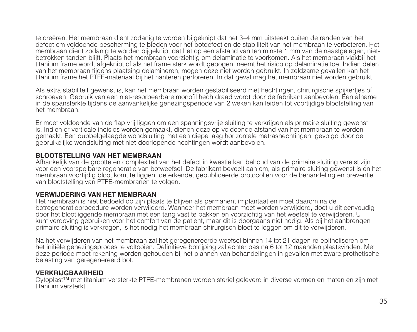te creëren. Het membraan dient zodanig te worden bijgeknipt dat het 3–4 mm uitsteekt buiten de randen van het defect om voldoende bescherming te bieden voor het botdefect en de stabiliteit van het membraan te verbeteren. Het membraan dient zodanig te worden bijgeknipt dat het op een afstand van ten minste 1 mm van de naastgelegen, nietbetrokken tanden blijft. Plaats het membraan voorzichtig om delaminatie te voorkomen. Als het membraan vlakbij het titanium frame wordt afgeknipt of als het frame sterk wordt gebogen, neemt het risico op delaminatie toe. Indien delen van het membraan tijdens plaatsing delamineren, mogen deze niet worden gebruikt. In zeldzame gevallen kan het titanium frame het PTFE-materiaal bij het hanteren perforeren. In dat geval mag het membraan niet worden gebruikt.

Als extra stabiliteit gewenst is, kan het membraan worden gestabiliseerd met hechtingen, chirurgische spijkertjes of schroeven. Gebruik van een niet-resorbeerbare monofil hechtdraad wordt door de fabrikant aanbevolen. Een afname in de spansterkte tijdens de aanvankelijke genezingsperiode van 2 weken kan leiden tot voortijdige blootstelling van het membraan.

Er moet voldoende van de flap vrij liggen om een spanningsvrije sluiting te verkrijgen als primaire sluiting gewenst is. Indien er verticale incisies worden gemaakt, dienen deze op voldoende afstand van het membraan te worden gemaakt. Een dubbelgelaagde wondsluiting met een diepe laag horizontale matrashechtingen, gevolgd door de gebruikelijke wondsluiting met niet-doorlopende hechtingen wordt aanbevolen.

## **BLOOTSTELLING VAN HET MEMBRAAN**

Afhankelijk van de grootte en complexiteit van het defect in kwestie kan behoud van de primaire sluiting vereist zijn voor een voorspelbare regeneratie van botweefsel. De fabrikant beveelt aan om, als primaire sluiting gewenst is en het membraan voortijdig bloot komt te liggen, de erkende, gepubliceerde protocollen voor de behandeling en preventie van blootstelling van PTFE-membranen te volgen.

## **VERWIJDERING VAN HET MEMBRAAN**

Het membraan is niet bedoeld op zijn plaats te blijven als permanent implantaat en moet daarom na de botregeneratieprocedure worden verwijderd. Wanneer het membraan moet worden verwijderd, doet u dit eenvoudig door het blootliggende membraan met een tang vast te pakken en voorzichtig van het weefsel te verwijderen. U kunt verdoving gebruiken voor het comfort van de patiënt, maar dit is doorgaans niet nodig. Als bij het aanbrengen primaire sluiting is verkregen, is het nodig het membraan chirurgisch bloot te leggen om dit te verwijderen.

Na het verwijderen van het membraan zal het geregenereerde weefsel binnen 14 tot 21 dagen re-epitheliseren om het initiële genezingsproces te voltooien. Definitieve botrijping zal echter pas na 6 tot 12 maanden plaatsvinden. Met deze periode moet rekening worden gehouden bij het plannen van behandelingen in gevallen met zware prothetische belasting van geregenereerd bot.

## **VERKRIJGBAARHEID**

Cytoplast™ met titanium versterkte PTFE-membranen worden steriel geleverd in diverse vormen en maten en zijn met titanium versterkt.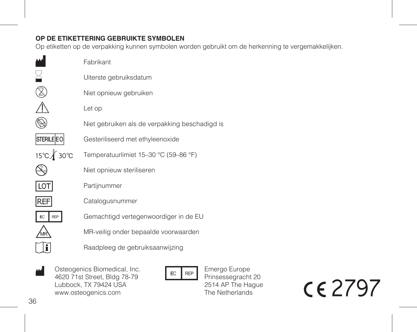# **OP DE ETIKETTERING GEBRUIKTE SYMBOLEN**

Op etiketten op de verpakking kunnen symbolen worden gebruikt om de herkenning te vergemakkelijken.

|                   | Fabrikant                                      |
|-------------------|------------------------------------------------|
|                   | Uiterste gebruiksdatum                         |
|                   | Niet opnieuw gebruiken                         |
|                   | Let op                                         |
|                   | Niet gebruiken als de verpakking beschadigd is |
| <b>STERILE EO</b> | Gesteriliseerd met ethyleenoxide               |
| 15℃∦ 30℃          | Temperatuurlimiet 15-30 °C (59-86 °F)          |
|                   | Niet opnieuw steriliseren                      |
|                   | Partijnummer                                   |
| <b>REF</b>        | Catalogusnummer                                |
| EC<br>RFP         | Gemachtigd vertegenwoordiger in de EU          |
|                   | MR-veilig onder bepaalde voorwaarden           |
|                   | Raadpleeg de gebruiksaanwijzing                |
|                   |                                                |

Osteogenics Biomedical, Inc. W Osteogenics Biomedical, Inc.<br>4620 71st Street, Bldg 78-79<br>Muhbock TX 79424 USA Lubbock, TX 79424 USA www.osteogenics.com

Emergo Europe Prinsessegracht 20 2514 AP The Hague The Netherlands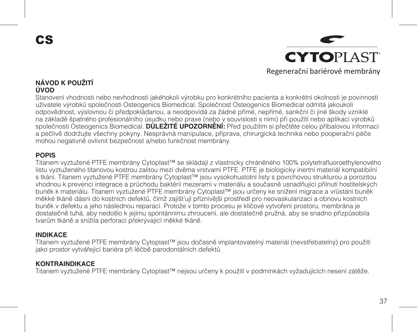CS



## **NÁVOD K POUŽITÍ ÚVOD**

Stanovení vhodnosti nebo nevhodnosti jakéhokoli výrobku pro konkrétního pacienta a konkrétní okolnosti je povinností uživatele výrobků společnosti Osteogenics Biomedical. Společnost Osteogenics Biomedical odmítá jakoukoli odpovědnost, výslovnou či předpokládanou, a neodpovídá za žádné přímé, nepřímé, sankční či jiné škody vzniklé na základě špatného profesionálního úsudku nebo praxe (nebo v souvislosti s nimi) při použití nebo aplikaci výrobků společnosti Osteogenics Biomedical. **DŮLEŽITÉ UPOZORNĚNÍ:** Před použitím si přečtěte celou příbalovou informaci a pečlivě dodržujte všechny pokyny. Nesprávná manipulace, příprava, chirurgická technika nebo pooperační péče mohou negativně ovlivnit bezpečnost a/nebo funkčnost membrány.

## **POPIS**

Titanem vyztužené PTFE membrány Cytoplast™ se skládají z vlastnicky chráněného 100% polytetrafluoroethylenového listu vyztuženého titanovou kostrou zalitou mezi dvěma vrstvami PTFE. PTFE je biologicky inertní materiál kompatibilní s tkání. Titanem vyztužené PTFE membrány Cytoplast™ jsou vysokohustotní listy s povrchovou strukturou a porozitou vhodnou k prevenci integrace a průchodu baktérií mezerami v materiálu a současně usnadňující přilnutí hostitelských buněk k materiálu. Titanem vyztužené PTFE membrány Cytoplast™ jsou určeny ke snížení migrace a vrůstání buněk měkké tkáně dásní do kostních defektů, čímž zajišťují příznivější prostředí pro neovaskularizaci a obnovu kostních buněk v defektu a jeho následnou reparaci. Protože v tomto procesu je klíčové vytvoření prostoru, membrána je dostatečně tuhá, aby nedošlo k jejímu spontánnímu zhroucení, ale dostatečně pružná, aby se snadno přizpůsobila tvarům tkáně a snížila perforaci překrývající měkké tkáně.

#### **INDIKACE**

Titanem vyztužené PTFE membrány Cytoplast™ jsou dočasně implantovatelný materiál (nevstřebatelný) pro použití jako prostor vytvářející bariéra při léčbě parodontálních defektů.

## **KONTRAINDIKACE**

Titanem vyztužené PTFE membrány Cytoplast™ nejsou určeny k použití v podmínkách vyžadujících nesení zátěže.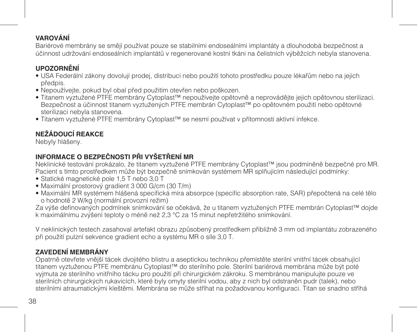# **VAROVÁNÍ**

Bariérové membrány se smějí používat pouze se stabilními endoseálními implantáty a dlouhodobá bezpečnost a účinnost udržování endoseálních implantátů v regenerované kostní tkáni na čelistních výběžcích nebyla stanovena.

# **UPOZORNĚNÍ**

- USA Federální zákony dovolují prodej, distribuci nebo použití tohoto prostředku pouze lékařům nebo na jejich předpis.
- Nepoužívejte, pokud byl obal před použitím otevřen nebo poškozen.
- Titanem vyztužené PTFE membrány Cytoplast™ nepoužívejte opětovně a neprovádějte jejich opětovnou sterilizaci. Bezpečnost a účinnost titanem vyztužených PTFE membrán Cytoplast™ po opětovném použití nebo opětovné sterilizaci nebyla stanovena.
- Titanem vyztužené PTFE membrány Cytoplast™ se nesmí používat v přítomnosti aktivní infekce.

# **NEŽÁDOUCÍ REAKCE**

Nebyly hlášeny.

# **INFORMACE O BEZPEČNOSTI PŘI VYŠETŘENÍ MR**

Neklinické testování prokázalo, že titanem vyztužené PTFE membrány Cytoplast™ jsou podmíněně bezpečné pro MR. Pacient s tímto prostředkem může být bezpečně snímkován systémem MR splňujícím následující podmínky:

- Statické magnetické pole 1,5 T nebo 3,0 T
- Maximální prostorový gradient 3 000 G/cm (30 T/m)
- Maximální MR systémem hlášená specifická míra absorpce (specific absorption rate, SAR) přepočtená na celé tělo o hodnotě 2 W/kg (normální provozní režim)

Za výše definovaných podmínek snímkování se očekává, že u titanem vyztužených PTFE membrán Cytoplast™ dojde k maximálnímu zvýšení teploty o méně než 2,3 °C za 15 minut nepřetržitého snímkování.

V neklinických testech zasahoval artefakt obrazu způsobený prostředkem přibližně 3 mm od implantátu zobrazeného při použití pulzní sekvence gradient echo a systému MR o síle 3,0 T.

# **ZAVEDENÍ MEMBRÁNY**

Opatrně otevřete vnější tácek dvojitého blistru a aseptickou technikou přemístěte sterilní vnitřní tácek obsahující titanem vyztuženou PTFE membránu Cytoplast™ do sterilního pole. Sterilní bariérová membrána může být poté vyjmuta ze sterilního vnitřního tácku pro použití při chirurgickém zákroku. S membránou manipulujte pouze ve sterilních chirurgických rukavicích, které byly omyty sterilní vodou, aby z nich byl odstraněn pudr (talek), nebo sterilními atraumatickými kleštěmi. Membrána se může stříhat na požadovanou konfiguraci. Titan se snadno stříhá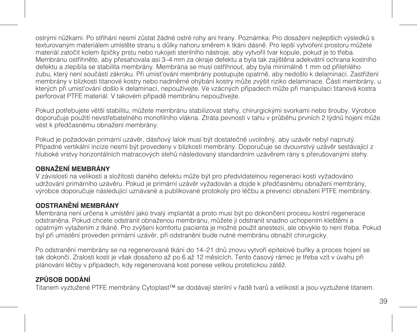ostrými nůžkami. Po stříhání nesmí zůstat žádné ostré rohy ani hrany. Poznámka: Pro dosažení nejlepších výsledků s texturovaným materiálem umístěte stranu s důlky nahoru směrem k tkáni dásně. Pro lepší vytvoření prostoru můžete materiál zatočit kolem špičky prstu nebo rukojeti sterilního nástroje, aby vytvořil tvar kopule, pokud je to třeba. Membránu ostřihněte, aby přesahovala asi 3–4 mm za okraje defektu a byla tak zajištěna adekvátní ochrana kostního defektu a zlepšila se stabilita membrány. Membrána se musí ostřihnout, aby byla minimálně 1 mm od přilehlého zubu, který není součástí zákroku. Při umisťování membrány postupujte opatrně, aby nedošlo k delaminaci. Zastřižení membrány v blízkosti titanové kostry nebo nadměrné ohýbání kostry může zvýšit riziko delaminace. Části membrány, u kterých při umisťování došlo k delaminaci, nepoužívejte. Ve vzácných případech může při manipulaci titanová kostra perforovat PTFE materiál. V takovém případě membránu nepoužívejte.

Pokud potřebujete větší stabilitu, můžete membránu stabilizovat stehy, chirurgickými svorkami nebo šrouby. Výrobce doporučuje použití nevstřebatelného monofilního vlákna. Ztráta pevnosti v tahu v průběhu prvních 2 týdnů hojení může vést k předčasnému obnažení membrány.

Pokud je požadován primární uzávěr, dásňový lalok musí být dostatečně uvolněný, aby uzávěr nebyl napnutý. Případné vertikální incize nesmí být provedeny v blízkosti membrány. Doporučuje se dvouvrstvý uzávěr sestávající z hluboké vrstvy horizontálních matracových stehů následovaný standardním uzávěrem rány s přerušovanými stehy.

# **OBNAŽENÍ MEMBRÁNY**

V závislosti na velikosti a složitosti daného defektu může být pro předvídatelnou regeneraci kosti vyžadováno udržování primárního uzávěru. Pokud je primární uzávěr vyžadován a dojde k předčasnému obnažení membrány, výrobce doporučuje následující uznávané a publikované protokoly pro léčbu a prevenci obnažení PTFE membrány.

# **ODSTRANĚNÍ MEMBRÁNY**

Membrána není určena k umístění jako trvalý implantát a proto musí být po dokončení procesu kostní regenerace odstraněna. Pokud chcete odstranit obnaženou membránu, můžete ji odstranit snadno uchopením kleštěmi a opatrným vytažením z tkáně. Pro zvýšení komfortu pacienta je možné použít anestezii, ale obvykle to není třeba. Pokud byl při umístění proveden primární uzávěr, při odstranění bude nutné membránu obnažit chirurgicky.

Po odstranění membrány se na regenerované tkáni do 14–21 dnů znovu vytvoří epitelové buňky a proces hojení se tak dokončí. Zralosti kosti je však dosaženo až po 6 až 12 měsících. Tento časový rámec je třeba vzít v úvahu při plánování léčby v případech, kdy regenerovaná kost ponese velkou protetickou zátěž.

# **ZPŮSOB DODÁNÍ**

Titanem vyztužené PTFE membrány Cytoplast™ se dodávají sterilní v řadě tvarů a velikostí a jsou vyztužené titanem.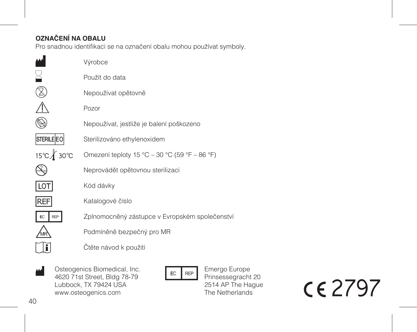# **OZNAČENÍ NA OBALU**

Pro snadnou identifikaci se na označení obalu mohou používat symboly.

|                   | Výrobce                                        |
|-------------------|------------------------------------------------|
|                   | Použít do data                                 |
|                   | Nepoužívat opětovně                            |
|                   | Pozor                                          |
|                   | Nepoužívat, jestliže je balení poškozeno       |
| <b>STERILE EO</b> | Sterilizováno ethylenoxidem                    |
| 15℃∦ 30℃          | Omezení teploty 15 °C - 30 °C (59 °F - 86 °F)  |
|                   | Neprovádět opětovnou sterilizaci               |
| LOT               | Kód dávky                                      |
| <b>REF</b>        | Katalogové číslo                               |
| EC<br>REP         | Zplnomocněný zástupce v Evropském společenstvi |
|                   | Podmíněně bezpečný pro MR                      |
|                   | Čtěte návod k použití                          |
|                   |                                                |

Osteogenics Biomedical, Inc. W Osteogenics Biomedical, Inc.<br>4620 71st Street, Bldg 78-79<br>Muhbock TX 79424 USA Lubbock, TX 79424 USA www.osteogenics.com

Emergo Europe Prinsessegracht 20 2514 AP The Hague The Netherlands